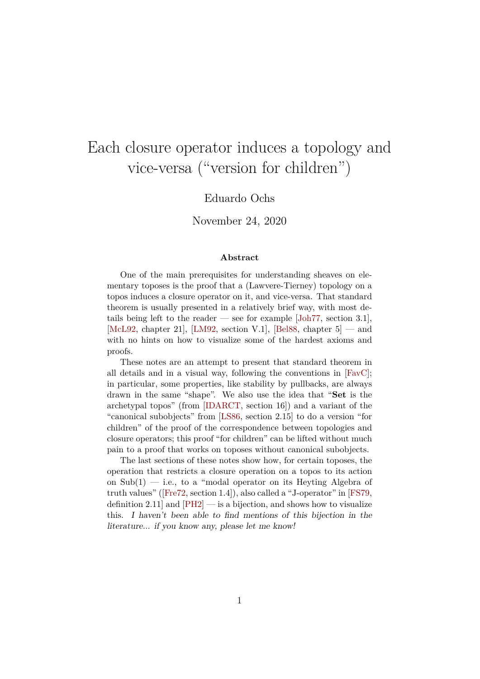# Each closure operator induces a topology and vice-versa ("version for children")

## Eduardo Ochs

### November 24, 2020

#### **Abstract**

One of the main prerequisites for understanding sheaves on elementary toposes is the proof that a (Lawvere-Tierney) topology on a topos induces a closure operator on it, and vice-versa. That standard theorem is usually presented in a relatively brief way, with most details being left to the reader — see for example  $[John77, section 3.1]$ , [\[McL92,](#page-42-1) chapter 21], [\[LM92,](#page-42-2) section V.1], [\[Bel88,](#page-42-3) chapter  $5$ ] — and with no hints on how to visualize some of the hardest axioms and proofs.

These notes are an attempt to present that standard theorem in all details and in a visual way, following the conventions in  $[{\rm FavC}]$ ; in particular, some properties, like stability by pullbacks, are always drawn in the same "shape". We also use the idea that "Set is the archetypal topos" (from [\[IDARCT,](#page-42-5) section 16]) and a variant of the "canonical subobjects" from [\[LS86,](#page-42-6) section 2.15] to do a version "for children" of the proof of the correspondence between topologies and closure operators; this proof "for children" can be lifted without much pain to a proof that works on toposes without canonical subobjects.

The last sections of these notes show how, for certain toposes, the operation that restricts a closure operation on a topos to its action on  $\text{Sub}(1)$  — i.e., to a "modal operator on its Heyting Algebra of truth values"([\[Fre72,](#page-42-7) section 1.4]), also called a "J-operator" in [\[FS79,](#page-42-8) definition 2.11 and  $[PH2]$  — is a bijection, and shows how to visualize this. I haven't been able to find mentions of this bijection in the literature... if you know any, please let me know!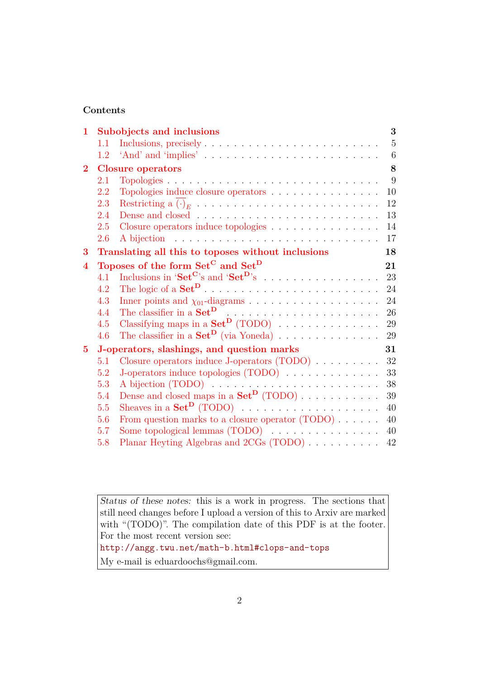## **Contents**

| 1              |                                                           | Subobjects and inclusions                                               | 3  |  |
|----------------|-----------------------------------------------------------|-------------------------------------------------------------------------|----|--|
|                | 1.1                                                       |                                                                         | 5  |  |
|                | 1.2                                                       |                                                                         | 6  |  |
| $\overline{2}$ |                                                           | <b>Closure operators</b>                                                |    |  |
|                | 2.1                                                       |                                                                         | 9  |  |
|                | 2.2                                                       | Topologies induce closure operators                                     | 10 |  |
|                | 2.3                                                       |                                                                         | 12 |  |
|                | 2.4                                                       |                                                                         | 13 |  |
|                | 2.5                                                       | Closure operators induce topologies                                     | 14 |  |
|                | 2.6                                                       |                                                                         | 17 |  |
| 3              |                                                           | Translating all this to toposes without inclusions<br>18                |    |  |
| $\bf{4}$       | Toposes of the form Set <sup>C</sup> and Set <sup>D</sup> |                                                                         |    |  |
|                | 4.1                                                       |                                                                         | 23 |  |
|                | 4.2                                                       |                                                                         | 24 |  |
|                | 4.3                                                       |                                                                         | 24 |  |
|                | 4.4                                                       |                                                                         | 26 |  |
|                | 4.5                                                       | Classifying maps in a $\mathbf{Set}^{\mathbf{D}}$ (TODO)                | 29 |  |
|                | 4.6                                                       | The classifier in a $\text{Set}^{\mathbf{D}}$ (via Yoneda)              | 29 |  |
| $5^{\circ}$    | J-operators, slashings, and question marks                |                                                                         |    |  |
|                | 5.1                                                       | Closure operators induce J-operators $(TODO)$                           | 32 |  |
|                | 5.2                                                       | J-operators induce topologies (TODO)                                    | 33 |  |
|                | 5.3                                                       |                                                                         | 38 |  |
|                | 5.4                                                       | Dense and closed maps in a $Set^D$ (TODO)                               | 39 |  |
|                | 5.5                                                       | Sheaves in a $Set^D$ (TODO) $\ldots \ldots \ldots \ldots \ldots \ldots$ | 40 |  |
|                | 5.6                                                       | From question marks to a closure operator $(TODO) \dots \dots$          | 40 |  |
|                | 5.7                                                       |                                                                         | 40 |  |
|                | 5.8                                                       | Planar Heyting Algebras and 2CGs (TODO)                                 | 42 |  |

Status of these notes: this is a work in progress. The sections that still need changes before I upload a version of this to Arxiv are marked with "(TODO)". The compilation date of this PDF is at the footer. For the most recent version see:

<http://angg.twu.net/math-b.html#clops-and-tops>

My e-mail is eduardoochs@gmail.com.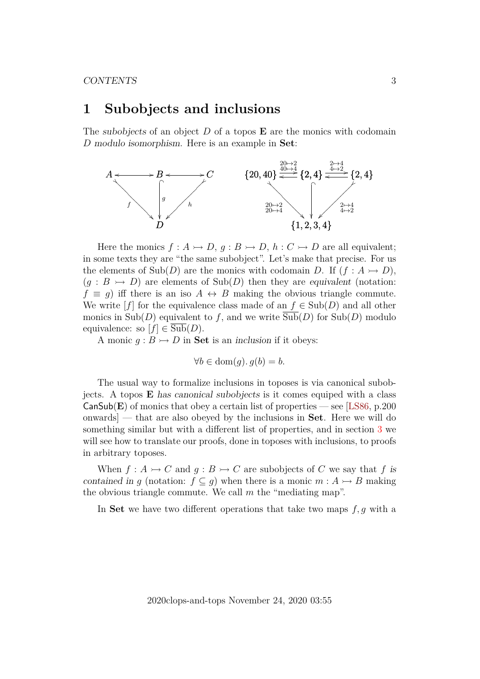# <span id="page-2-0"></span>**1 Subobjects and inclusions**

The subobjects of an object  $D$  of a topos  $E$  are the monics with codomain D modulo isomorphism. Here is an example in Set:



Here the monics  $f : A \rightarrowtail D, g : B \rightarrowtail D, h : C \rightarrowtail D$  are all equivalent; in some texts they are "the same subobject". Let's make that precise. For us the elements of  $\text{Sub}(D)$  are the monics with codomain D. If  $(f : A \rightarrow D)$ ,  $(g : B \rightarrow D)$  are elements of  $\text{Sub}(D)$  then they are equivalent (notation:  $f \equiv g$ ) iff there is an iso  $A \leftrightarrow B$  making the obvious triangle commute. We write  $[f]$  for the equivalence class made of an  $f \in Sub(D)$  and all other monics in  $\text{Sub}(D)$  equivalent to f, and we write  $\text{Sub}(D)$  for  $\text{Sub}(D)$  modulo equivalence: so  $[f] \in Sub(D)$ .

A monic  $g : B \rightarrowtail D$  in **Set** is an inclusion if it obeys:

 $\forall b \in \text{dom}(q) \ldotp q(b) = b.$ 

The usual way to formalize inclusions in toposes is via canonical subobjects. A topos E has canonical subobjects is it comes equiped with a class  $CanSub(E)$  of monics that obey a certain list of properties — see [\[LS86,](#page-42-6) p.200] onwards] — that are also obeyed by the inclusions in Set. Here we will do something similar but with a different list of properties, and in section [3](#page-17-0) we will see how to translate our proofs, done in toposes with inclusions, to proofs in arbitrary toposes.

When  $f: A \rightarrowtail C$  and  $g: B \rightarrowtail C$  are subobjects of C we say that f is contained in q (notation:  $f \subseteq q$ ) when there is a monic  $m : A \rightarrow B$  making the obvious triangle commute. We call  $m$  the "mediating map".

In Set we have two different operations that take two maps  $f, g$  with a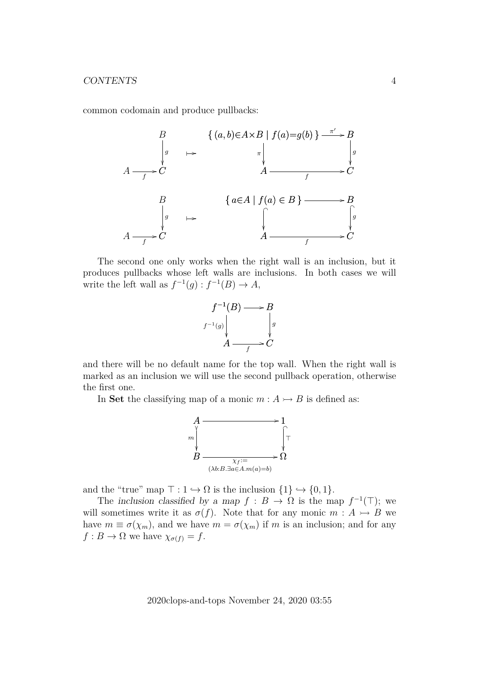common codomain and produce pullbacks:



The second one only works when the right wall is an inclusion, but it produces pullbacks whose left walls are inclusions. In both cases we will write the left wall as  $f^{-1}(g) : f^{-1}(B) \to A$ ,



and there will be no default name for the top wall. When the right wall is marked as an inclusion we will use the second pullback operation, otherwise the first one.

In Set the classifying map of a monic  $m : A \rightarrow B$  is defined as:



and the "true" map  $\top : 1 \hookrightarrow \Omega$  is the inclusion  $\{1\} \hookrightarrow \{0, 1\}.$ 

The inclusion classified by a map  $f : B \to \Omega$  is the map  $f^{-1}(\top)$ ; we will sometimes write it as  $\sigma(f)$ . Note that for any monic  $m : A \rightarrow B$  we have  $m \equiv \sigma(\chi_m)$ , and we have  $m = \sigma(\chi_m)$  if m is an inclusion; and for any  $f : B \to \Omega$  we have  $\chi_{\sigma(f)} = f$ .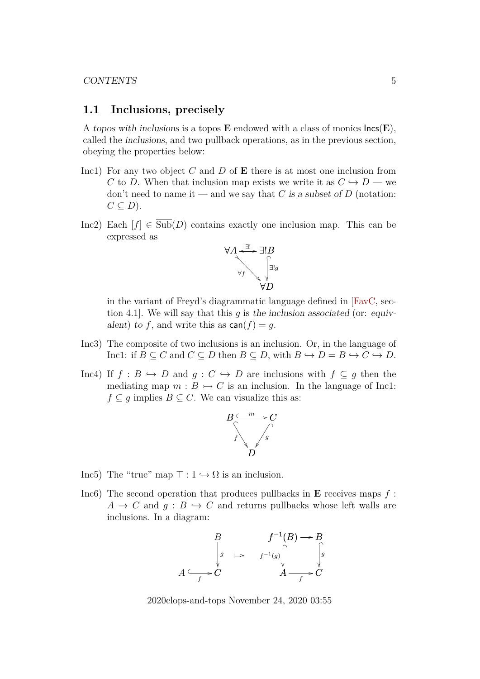### <span id="page-4-0"></span>**1.1 Inclusions, precisely**

A topos with inclusions is a topos  $E$  endowed with a class of monics  $\textsf{Incs}(E)$ , called the inclusions, and two pullback operations, as in the previous section, obeying the properties below:

- Inc1) For any two object  $C$  and  $D$  of  $E$  there is at most one inclusion from C to D. When that inclusion map exists we write it as  $C \hookrightarrow D$  — we don't need to name it — and we say that C is a subset of D (notation:  $C \subseteq D$ ).
- Inc2) Each  $[f] \in \overline{\text{Sub}}(D)$  contains exactly one inclusion map. This can be expressed as



in the variant of Freyd's diagrammatic language defined in [\[FavC,](#page-42-4) section 4.1. We will say that this q is the inclusion associated (or: equivalent) to f, and write this as  $\text{can}(f) = q$ .

- Inc3) The composite of two inclusions is an inclusion. Or, in the language of Inc1: if  $B \subseteq C$  and  $C \subseteq D$  then  $B \subseteq D$ , with  $B \hookrightarrow D = B \hookrightarrow C \hookrightarrow D$ .
- Inc4) If  $f : B \hookrightarrow D$  and  $g : C \hookrightarrow D$  are inclusions with  $f \subseteq g$  then the mediating map  $m : B \rightarrow C$  is an inclusion. In the language of Inc1:  $f \subseteq g$  implies  $B \subseteq C$ . We can visualize this as:



- Inc5) The "true" map  $\top : 1 \hookrightarrow \Omega$  is an inclusion.
- Inc6) The second operation that produces pullbacks in  $E$  receives maps  $f$ :  $A \rightarrow C$  and  $q : B \rightarrow C$  and returns pullbacks whose left walls are inclusions. In a diagram:

$$
\begin{array}{ccc}\n & B & f^{-1}(B) \longrightarrow B \\
\downarrow_g & \mapsto & f^{-1}(g) \downarrow_g & \downarrow_g \\
A \longrightarrow C & & A \longrightarrow C\n\end{array}
$$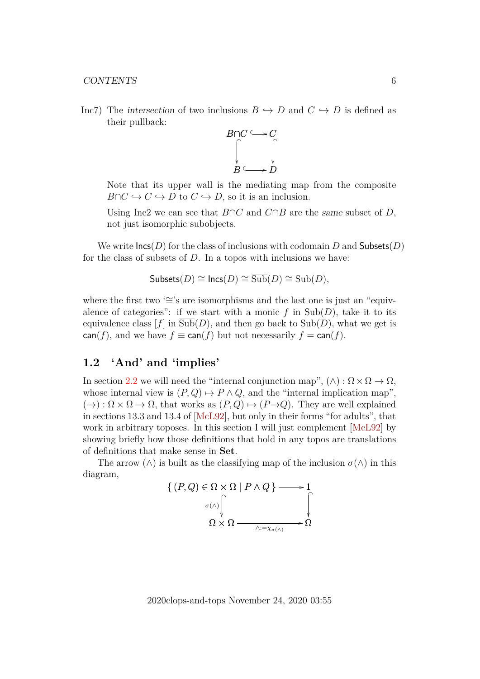Inc7) The intersection of two inclusions  $B \hookrightarrow D$  and  $C \hookrightarrow D$  is defined as their pullback:



Note that its upper wall is the mediating map from the composite  $B \cap C \hookrightarrow C \hookrightarrow D$  to  $C \hookrightarrow D$ , so it is an inclusion.

Using Inc2 we can see that  $B \cap C$  and  $C \cap B$  are the same subset of D, not just isomorphic subobjects.

We write  $\textsf{Incs}(D)$  for the class of inclusions with codomain D and Subsets(D) for the class of subsets of  $D$ . In a topos with inclusions we have:

$$
\mathsf{Subsets}(D) \cong \mathsf{Incs}(D) \cong \overline{\mathrm{Sub}}(D) \cong \mathrm{Sub}(D),
$$

where the first two '≅'s are isomorphisms and the last one is just an "equivalence of categories": if we start with a monic f in  $\text{Sub}(D)$ , take it to its equivalence class  $[f]$  in  $\text{Sub}(D)$ , and then go back to  $\text{Sub}(D)$ , what we get is  $\text{can}(f)$ , and we have  $f \equiv \text{can}(f)$  but not necessarily  $f = \text{can}(f)$ .

## <span id="page-5-0"></span>**1.2 'And' and 'implies'**

In section [2.2](#page-9-0) we will need the "internal conjunction map",  $(\wedge) : \Omega \times \Omega \to \Omega$ , whose internal view is  $(P, Q) \mapsto P \wedge Q$ , and the "internal implication map",  $(\rightarrow) : \Omega \times \Omega \rightarrow \Omega$ , that works as  $(P,Q) \mapsto (P\rightarrow Q)$ . They are well explained in sections 13.3 and 13.4 of [\[McL92\]](#page-42-1), but only in their forms "for adults", that work in arbitrary toposes. In this section I will just complement [\[McL92\]](#page-42-1) by showing briefly how those definitions that hold in any topos are translations of definitions that make sense in Set.

The arrow  $(\wedge)$  is built as the classifying map of the inclusion  $\sigma(\wedge)$  in this diagram,

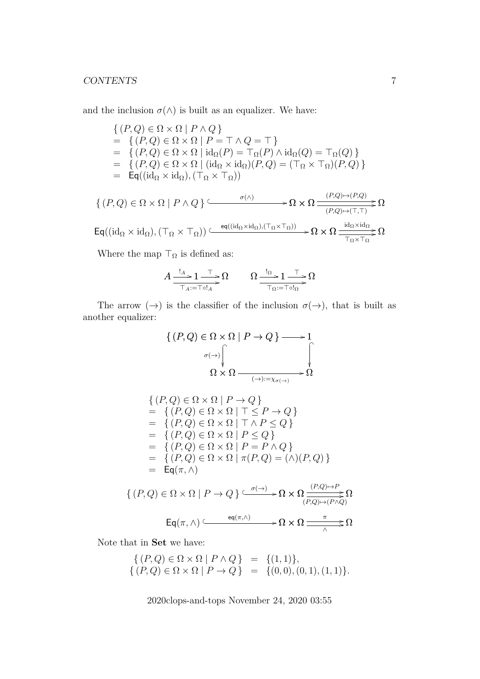and the inclusion  $\sigma(\wedge)$  is built as an equalizer. We have:

$$
\begin{aligned}\n\{(P,Q) \in \Omega \times \Omega \mid P \wedge Q\} \\
&= \{(P,Q) \in \Omega \times \Omega \mid P = \top \wedge Q = \top\} \\
&= \{(P,Q) \in \Omega \times \Omega \mid \mathrm{id}_{\Omega}(P) = \top_{\Omega}(P) \wedge \mathrm{id}_{\Omega}(Q) = \top_{\Omega}(Q)\} \\
&= \{(P,Q) \in \Omega \times \Omega \mid (\mathrm{id}_{\Omega} \times \mathrm{id}_{\Omega})(P,Q) = (\top_{\Omega} \times \top_{\Omega})(P,Q)\} \\
&= \mathsf{Eq}((\mathrm{id}_{\Omega} \times \mathrm{id}_{\Omega}), (\top_{\Omega} \times \top_{\Omega})) \\
\{(P,Q) \in \Omega \times \Omega \mid P \wedge Q\} &\xrightarrow{\sigma(\wedge)} \mathsf{O} \times \Omega \xrightarrow{\qquad (P,Q) \mapsto (P,Q)} \Omega \\
\mathsf{Eq}((\mathrm{id}_{\Omega} \times \mathrm{id}_{\Omega}), (\top_{\Omega} \times \top_{\Omega})) &\xrightarrow{\text{eq}((\mathrm{id}_{\Omega} \times \mathrm{id}_{\Omega}),(\top_{\Omega} \times \top_{\Omega}))} \Omega \times \Omega \xrightarrow{\text{id}_{\Omega} \times \mathrm{id}_{\Omega}} \Omega\n\end{aligned}
$$

Where the map  $\top_{\Omega}$  is defined as:

$$
A \xrightarrow{\mathbf{1}_A} 1 \xrightarrow{\mathbf{T}} \Omega
$$
\n
$$
\xrightarrow{\mathbf{1}_A} 1 \xrightarrow{\mathbf{T}} \Omega
$$
\n
$$
\xrightarrow{\mathbf{1}_\Omega} 1 \xrightarrow{\mathbf{T}} \Omega
$$

The arrow  $(\rightarrow)$  is the classifier of the inclusion  $\sigma(\rightarrow)$ , that is built as another equalizer:

$$
\{(P,Q) \in \Omega \times \Omega \mid P \to Q\} \longrightarrow 1
$$
  
\n
$$
\sigma(\rightarrow) \qquad \qquad \downarrow
$$
  
\n
$$
\Omega \times \Omega \longrightarrow \longrightarrow \Omega
$$
  
\n
$$
\{(P,Q) \in \Omega \times \Omega \mid P \to Q\}
$$
  
\n
$$
= \{(P,Q) \in \Omega \times \Omega \mid \top \leq P \to Q\}
$$
  
\n
$$
= \{(P,Q) \in \Omega \times \Omega \mid \top \wedge P \leq Q\}
$$
  
\n
$$
= \{(P,Q) \in \Omega \times \Omega \mid P \leq Q\}
$$
  
\n
$$
= \{(P,Q) \in \Omega \times \Omega \mid P = P \wedge Q\}
$$
  
\n
$$
= \{(P,Q) \in \Omega \times \Omega \mid P = P \wedge Q\}
$$
  
\n
$$
= \{P(\pi, \wedge)\}
$$
  
\n
$$
\{(P,Q) \in \Omega \times \Omega \mid P \to Q\} \xrightarrow{\sigma(\rightarrow)} \Omega \times \Omega \xrightarrow{\frac{(P,Q) \mapsto P}{(P,Q) \mapsto (P \wedge Q)}} \Omega
$$
  
\n
$$
Eq(\pi, \wedge) \xrightarrow{eq(\pi, \wedge)} \Omega \times \Omega \xrightarrow{\pi} \Omega
$$

Note that in Set we have:

$$
\begin{array}{rcl} \{ (P,Q) \in \Omega \times \Omega \mid P \wedge Q \} & = & \{ (1,1) \}, \\ \{ (P,Q) \in \Omega \times \Omega \mid P \rightarrow Q \} & = & \{ (0,0), (0,1), (1,1) \}. \end{array}
$$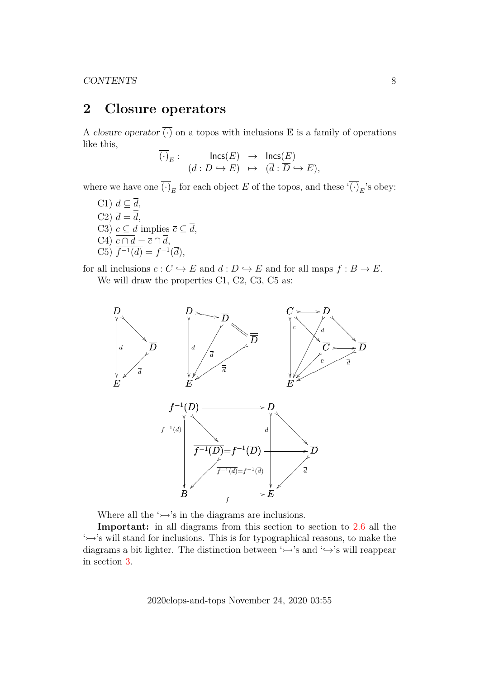# <span id="page-7-0"></span>**2 Closure operators**

A closure operator  $\overline{(\cdot)}$  on a topos with inclusions **E** is a family of operations like this,

$$
\overline{(\cdot)}_E: \quad \mathsf{Incs}(E) \rightarrow \mathsf{Incs}(E) \n(d: D \hookrightarrow E) \rightarrow (\overline{d}: \overline{D} \hookrightarrow E),
$$

where we have one  $(\cdot)_E$  for each object E of the topos, and these  $'(\cdot)_E$ 's obey:

C1)  $d \subseteq \overline{d}$ , C2)  $d = d$ , C3)  $c \subseteq d$  implies  $\overline{c} \subseteq \overline{d}$ , C4)  $c \cap d = \overline{c} \cap d$ , C5)  $\overline{f^{-1}(d)} = f^{-1}(\overline{d}),$ 

for all inclusions  $c : C \hookrightarrow E$  and  $d : D \hookrightarrow E$  and for all maps  $f : B \to E$ . We will draw the properties C1, C2, C3, C5 as:



Where all the  $\rightarrow$ 's in the diagrams are inclusions.

**Important:** in all diagrams from this section to section to [2.6](#page-16-0) all the  $\rightarrow$ 's will stand for inclusions. This is for typographical reasons, to make the diagrams a bit lighter. The distinction between ' $\rightarrow$ 's and ' $\rightarrow$ 's will reappear in section [3.](#page-17-0)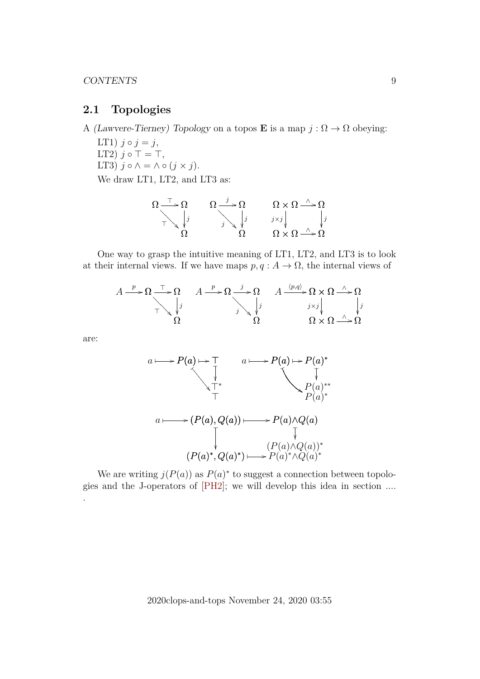### <span id="page-8-0"></span>**2.1 Topologies**

A (Lawvere-Tierney) Topology on a topos **E** is a map  $j : \Omega \to \Omega$  obeying:

LT1)  $j \circ j = j$ , LT2)  $j \circ \top = \top$ , LT3)  $j \circ \wedge = \wedge \circ (j \times j)$ . We draw LT1, LT2, and LT3 as:

$$
\Omega \xrightarrow{\top} \Omega \qquad \Omega \xrightarrow{j} \Omega \qquad \Omega \times \Omega \xrightarrow{\wedge} \Omega
$$
\n
$$
\nabla \downarrow j \qquad \downarrow j \qquad \downarrow j \qquad \downarrow j \qquad \downarrow j
$$
\n
$$
\Omega \times \Omega \xrightarrow{\wedge} \Omega
$$

One way to grasp the intuitive meaning of LT1, LT2, and LT3 is to look at their internal views. If we have maps  $p, q : A \to \Omega$ , the internal views of

$$
A \xrightarrow{p} \Omega \xrightarrow{\top} \Omega \qquad A \xrightarrow{p} \Omega \xrightarrow{j} \Omega \qquad A \xrightarrow{\langle p,q \rangle} \Omega \times \Omega \xrightarrow{\wedge} \Omega
$$
  

$$
\downarrow j
$$
  

$$
\Omega \qquad \qquad \Omega \times \Omega \xrightarrow{\wedge} \Omega
$$

are:

.



We are writing  $j(P(a))$  as  $P(a)^*$  to suggest a connection between topologies and the J-operators of [\[PH2\]](#page-42-9); we will develop this idea in section ....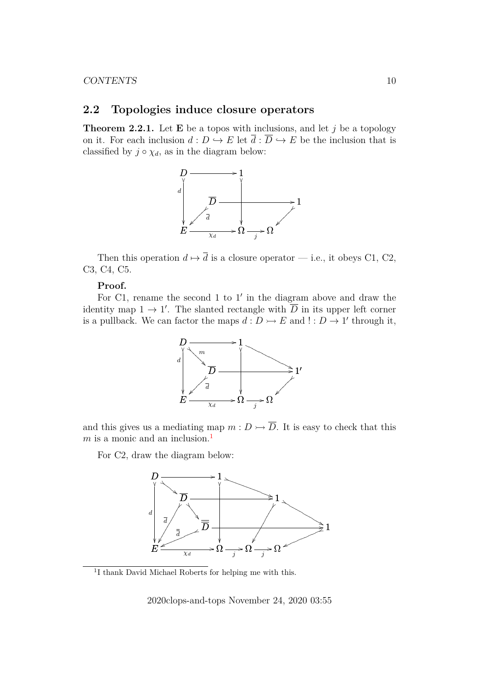### <span id="page-9-0"></span>**2.2 Topologies induce closure operators**

<span id="page-9-2"></span>**Theorem 2.2.1.** Let **E** be a topos with inclusions, and let j be a topology on it. For each inclusion  $d: D \hookrightarrow E$  let  $\overline{d}: \overline{D} \hookrightarrow E$  be the inclusion that is classified by  $j \circ \chi_d$ , as in the diagram below:



Then this operation  $d \mapsto \overline{d}$  is a closure operator — i.e., it obeys C1, C2, C3, C4, C5.

#### **Proof.**

For  $C1$ , rename the second 1 to  $1'$  in the diagram above and draw the identity map  $1 \to 1'$ . The slanted rectangle with  $\overline{D}$  in its upper left corner is a pullback. We can factor the maps  $d: D \rightarrowtail E$  and  $! : D \rightarrow 1'$  through it,



and this gives us a mediating map  $m: D \rightarrow \overline{D}$ . It is easy to check that this  $m$  is a monic and an inclusion.<sup>[1](#page-9-1)</sup>

For C2, draw the diagram below:



<span id="page-9-1"></span><sup>1</sup>I thank David Michael Roberts for helping me with this.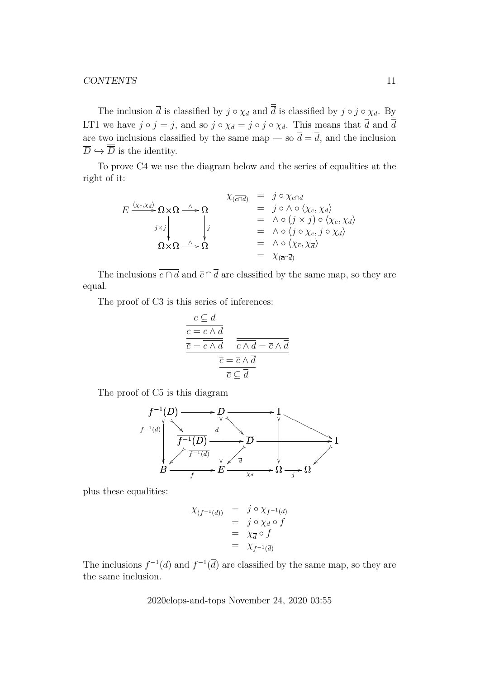The inclusion  $\overline{d}$  is classified by  $j \circ \chi_d$  and  $\overline{\overline{d}}$  is classified by  $j \circ j \circ \chi_d$ . By LT1 we have  $j \circ j = j$ , and so  $j \circ \chi_d = j \circ j \circ \chi_d$ . This means that  $\overline{d}$  and  $\overline{\overline{d}}$ are two inclusions classified by the same map — so  $\overline{d} = \overline{\overline{d}}$ , and the inclusion  $\overline{D} \hookrightarrow \overline{\overline{D}}$  is the identity.

To prove C4 we use the diagram below and the series of equalities at the right of it:

$$
E \xrightarrow{\langle \chi_c, \chi_d \rangle} \Omega \times \Omega \xrightarrow{\wedge} \Omega
$$
\n
$$
E \xrightarrow{\langle \chi_c, \chi_d \rangle} \Omega \times \Omega \xrightarrow{\wedge} \Omega
$$
\n
$$
= \begin{cases}\n\downarrow & \text{if } \omega & \text{if } \omega & \text{if } \omega & \text{if } \omega \in \Omega \\
\downarrow & \text{if } \omega & \text{if } \omega & \text{if } \omega & \text{if } \omega \in \Omega \\
\downarrow & \text{if } \omega & \text{if } \omega & \text{if } \omega & \text{if } \omega \in \Omega \\
\downarrow & \text{if } \omega & \text{if } \omega & \text{if } \omega & \text{if } \omega \in \Omega \\
\downarrow & \text{if } \omega & \text{if } \omega & \text{if } \omega & \text{if } \omega \in \Omega\n\end{cases}
$$
\n
$$
\Omega \times \Omega \xrightarrow{\wedge} \Omega
$$
\n
$$
= \begin{cases}\n\chi_c, \chi_d \rangle & \text{if } \omega & \text{if } \omega & \text{if } \omega & \text{if } \omega & \text{if } \omega \in \Omega \\
\downarrow & \text{if } \omega & \text{if } \omega & \text{if } \omega & \text{if } \omega & \text{if } \omega \in \Omega \\
\downarrow & \text{if } \omega & \text{if } \omega & \text{if } \omega & \text{if } \omega \in \Omega\n\end{cases}
$$

The inclusions  $\overline{c \cap d}$  and  $\overline{c} \cap \overline{d}$  are classified by the same map, so they are equal.

The proof of C3 is this series of inferences:

$$
\frac{c \subseteq d}{\overline{c} = \overline{c \wedge d}}\n\overline{\overline{c} = \overline{c \wedge d}}\n\overline{\overline{c} \wedge \overline{d} = \overline{c} \wedge \overline{d}}\n\overline{\overline{c} = \overline{c} \wedge \overline{d}}\n\overline{\overline{c} = \overline{c} \wedge \overline{d}}\n\overline{c} \subseteq \overline{d}}
$$

The proof of C5 is this diagram



plus these equalities:

$$
\begin{array}{rcl}\n\chi_{\overline{(f^{-1}(d))}} & = & j \circ \chi_{f^{-1}(d)} \\
& = & j \circ \chi_d \circ f \\
& = & \chi_{\overline{d}} \circ f \\
& = & \chi_{f^{-1}(\overline{d})}\n\end{array}
$$

The inclusions  $f^{-1}(d)$  and  $f^{-1}(\overline{d})$  are classified by the same map, so they are the same inclusion.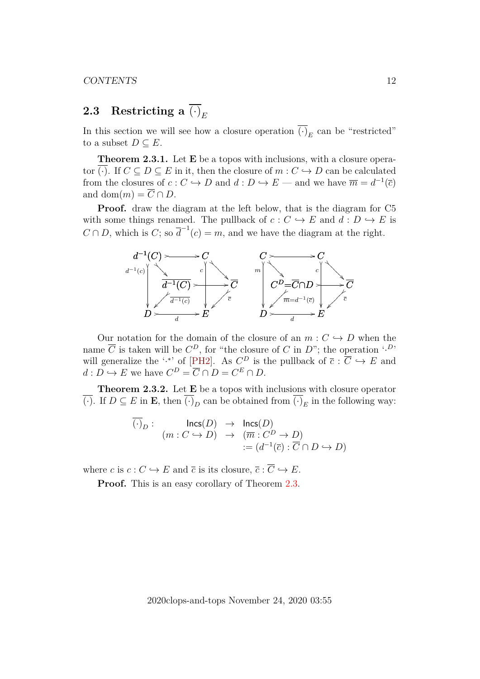# <span id="page-11-0"></span>**2.3** Restricting a  $\overline{(\cdot)}_E$

In this section we will see how a closure operation  $(\cdot)_E$  can be "restricted" to a subset  $D \subseteq E$ .

<span id="page-11-1"></span>**Theorem 2.3.1.** Let **E** be a topos with inclusions, with a closure operator (·). If  $C \subseteq D \subseteq E$  in it, then the closure of  $m : C \hookrightarrow D$  can be calculated from the closures of  $c: C \hookrightarrow D$  and  $d: D \hookrightarrow E$  — and we have  $\overline{m} = d^{-1}(\overline{c})$ and dom $(m) = \overline{C} \cap D$ .

**Proof.** draw the diagram at the left below, that is the diagram for C5 with some things renamed. The pullback of  $c : C \hookrightarrow E$  and  $d : D \hookrightarrow E$  is  $C \cap D$ , which is  $C$ ; so  $\overline{d}^{-1}(c) = m$ , and we have the diagram at the right.



Our notation for the domain of the closure of an  $m : C \hookrightarrow D$  when the name  $\overline{C}$  is taken will be  $C^D$ , for "the closure of C in D"; the operation '.<sup>D</sup>' will generalize the '.<sup>\*</sup>' of [\[PH2\]](#page-42-9). As  $C^D$  is the pullback of  $\overline{c}$  :  $\overline{C}$   $\hookrightarrow$  E and  $d: D \hookrightarrow E$  we have  $C^D = \overline{C} \cap D = C^E \cap D$ .

**Theorem 2.3.2.** Let E be a topos with inclusions with closure operator (·). If  $D \subseteq E$  in **E**, then  $(\cdot)_D$  can be obtained from  $(\cdot)_E$  in the following way:

$$
(\cdot)_D: \quad \text{Incs}(D) \rightarrow \text{Incs}(D)
$$
  

$$
(m:C \hookrightarrow D) \rightarrow (\overline{m}:C^D \to D)
$$
  

$$
:= (d^{-1}(\overline{c}): \overline{C} \cap D \hookrightarrow D)
$$

where c is  $c : C \hookrightarrow E$  and  $\overline{c}$  is its closure,  $\overline{c} : \overline{C} \hookrightarrow E$ .

**Proof.** This is an easy corollary of Theorem [2.3.](#page-11-1)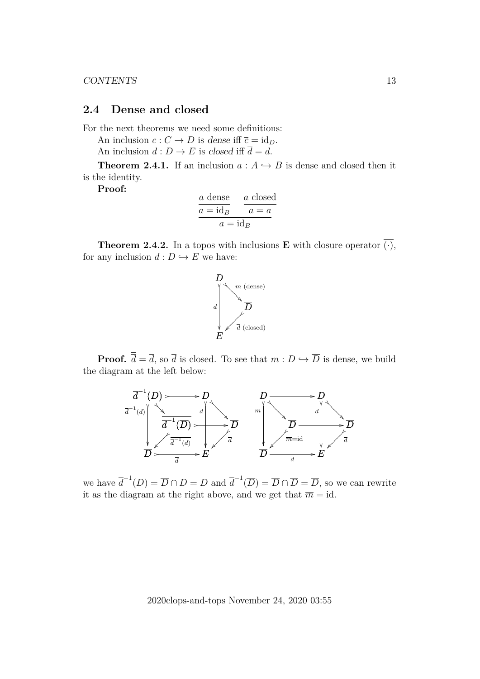## <span id="page-12-0"></span>**2.4 Dense and closed**

For the next theorems we need some definitions:

An inclusion  $c: C \to D$  is dense iff  $\overline{c} = id_D$ . An inclusion  $d: D \to E$  is closed iff  $\overline{d} = d$ .

**Theorem 2.4.1.** If an inclusion  $a: A \rightarrow B$  is dense and closed then it is the identity.

**Proof:**

$$
\frac{a \text{ dense}}{\overline{a} = \text{id}_B} \qquad \frac{a \text{ closed}}{\overline{a} = a}
$$

$$
a = \text{id}_B
$$

<span id="page-12-1"></span>**Theorem 2.4.2.** In a topos with inclusions **E** with closure operator  $\overline{(\cdot)}$ , for any inclusion  $d : D \hookrightarrow E$  we have:



**Proof.**  $\overline{\overline{d}} = \overline{d}$ , so  $\overline{d}$  is closed. To see that  $m : D \hookrightarrow \overline{D}$  is dense, we build the diagram at the left below:



we have  $\overline{d}^{-1}(D) = \overline{D} \cap D = D$  and  $\overline{d}^{-1}(\overline{D}) = \overline{D} \cap \overline{D} = \overline{D}$ , so we can rewrite it as the diagram at the right above, and we get that  $\overline{m} = id$ .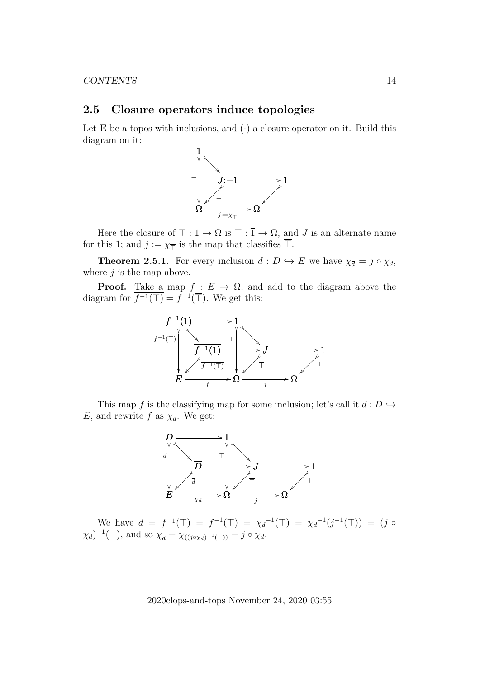### <span id="page-13-0"></span>**2.5 Closure operators induce topologies**

Let **E** be a topos with inclusions, and  $\overline{(\cdot)}$  a closure operator on it. Build this diagram on it:



Here the closure of  $\top : 1 \to \Omega$  is  $\overline{\top} : \overline{1} \to \Omega$ , and J is an alternate name for this  $\overline{1}$ ; and  $j := \chi_{\overline{1}}$  is the map that classifies  $\overline{\overline{1}}$ .

**Theorem 2.5.1.** For every inclusion  $d : D \hookrightarrow E$  we have  $\chi_{\overline{d}} = j \circ \chi_d$ , where  $j$  is the map above.

**Proof.** Take a map  $f: E \to \Omega$ , and add to the diagram above the diagram for  $\overline{f^{-1}(\top)} = f^{-1}(\overline{\top})$ . We get this:



This map f is the classifying map for some inclusion; let's call it  $d: D \hookrightarrow$ E, and rewrite f as  $\chi_d$ . We get:



We have  $\bar{d} = \bar{f}^{-1}(\bar{T}) = f^{-1}(\bar{T}) = \chi_d^{-1}(\bar{T}) = \chi_d^{-1}(j^{-1}(T)) = (j \circ$  $(\chi_d)^{-1}(\top)$ , and so  $\chi_{\overline{d}} = \chi_{((j \circ \chi_d)^{-1}(\top))} = j \circ \chi_d$ .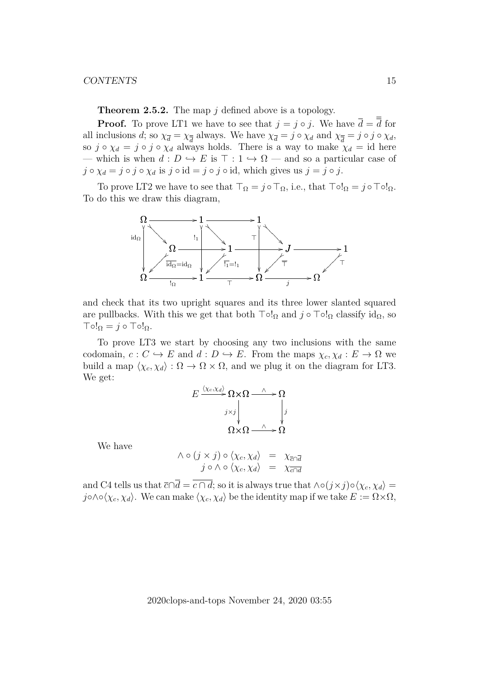**Theorem 2.5.2.** The map j defined above is a topology.

**Proof.** To prove LT1 we have to see that  $j = j \circ j$ . We have  $\overline{d} = \overline{d}$  for all inclusions d; so  $\chi_{\overline{d}} = \chi_{\overline{d}}$  always. We have  $\chi_{\overline{d}} = j \circ \chi_d$  and  $\chi_{\overline{d}} = j \circ j \circ \chi_d$ , so  $j \circ \chi_d = j \circ j \circ \chi_d$  always holds. There is a way to make  $\chi_d = id$  here — which is when  $d: D \hookrightarrow E$  is  $\top : 1 \hookrightarrow \Omega$  — and so a particular case of  $j \circ \chi_d = j \circ j \circ \chi_d$  is  $j \circ id = j \circ j \circ id$ , which gives us  $j = j \circ j$ .

To prove LT2 we have to see that  $\top_{\Omega} = j \circ \top_{\Omega}$ , i.e., that  $\top \circ !_{\Omega} = j \circ \top \circ !_{\Omega}$ . To do this we draw this diagram,



and check that its two upright squares and its three lower slanted squared are pullbacks. With this we get that both  $\lnot \circ \lnot \circ \lnot \circ \lnot \circ \lnot \circ \iota$  classify  $\mathrm{id}_{\Omega}$ , so  $\text{To!}_\Omega = j \circ \text{To!}_\Omega.$ 

To prove LT3 we start by choosing any two inclusions with the same codomain,  $c: C \hookrightarrow E$  and  $d: D \hookrightarrow E$ . From the maps  $\chi_c, \chi_d : E \to \Omega$  we build a map  $\langle \chi_c, \chi_d \rangle : \Omega \to \Omega \times \Omega$ , and we plug it on the diagram for LT3. We get:

$$
E \xrightarrow{\langle \chi_c, \chi_d \rangle} \Omega \times \Omega \xrightarrow{\wedge} \Omega
$$
\n
$$
\chi_j
$$
\n
$$
\Omega \times \Omega \xrightarrow{\wedge} \Omega
$$

We have

$$
\begin{array}{rcl}\n\wedge \circ (j \times j) \circ \langle \chi_c, \chi_d \rangle & = & \chi_{\overline{c} \cap \overline{d}} \\
j \circ \wedge \circ \langle \chi_c, \chi_d \rangle & = & \chi_{\overline{c} \cap \overline{d}}\n\end{array}
$$

and C4 tells us that  $\overline{c} \cap \overline{d} = \overline{c \cap d}$ ; so it is always true that  $\wedge \circ (j \times j) \circ \langle \chi_c, \chi_d \rangle =$ j∘∧∘ $\langle \chi_c, \chi_d \rangle$ . We can make  $\langle \chi_c, \chi_d \rangle$  be the identity map if we take  $E := \Omega \times \Omega$ ,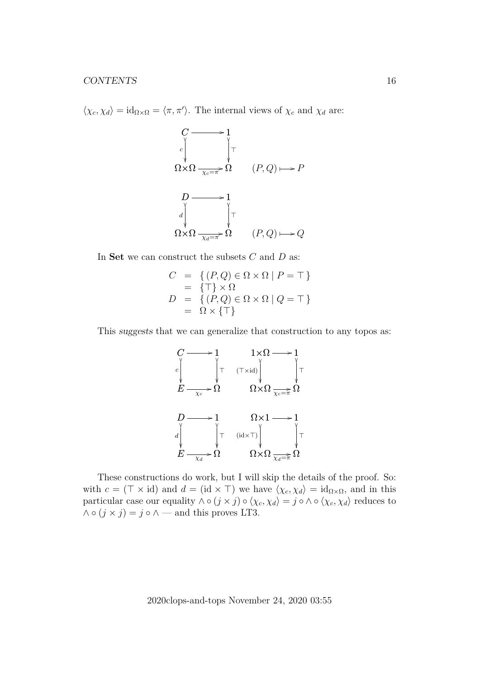$\langle \chi_c, \chi_d \rangle = \mathrm{id}_{\Omega \times \Omega} = \langle \pi, \pi' \rangle$ . The internal views of  $\chi_c$  and  $\chi_d$  are:

$$
C \longrightarrow 1
$$
  
\n
$$
\sqrt{\sum_{x \in \pi} P \setminus \Gamma} \Gamma
$$
  
\n
$$
D \longrightarrow 1
$$
  
\n
$$
\sqrt{\sum_{x \in \pi} P \setminus \Gamma} \Gamma
$$
  
\n
$$
\Omega \times \Omega \longrightarrow 1
$$
  
\n
$$
\sqrt{\sum_{x \in \pi} P \setminus \Gamma} \Gamma
$$
  
\n
$$
(P, Q) \longrightarrow Q
$$

In Set we can construct the subsets  $C$  and  $D$  as:

$$
C = \{ (P,Q) \in \Omega \times \Omega \mid P = \top \}
$$
  
=  $\{ \top \} \times \Omega$   

$$
D = \{ (P,Q) \in \Omega \times \Omega \mid Q = \top \}
$$
  
=  $\Omega \times \{ \top \}$ 

This suggests that we can generalize that construction to any topos as:

$$
C \longrightarrow 1 \qquad 1 \times \Omega \longrightarrow 1
$$
  
\n
$$
E \longrightarrow \Omega \qquad \qquad \Omega \times \Omega \longrightarrow \Omega
$$
  
\n
$$
D \longrightarrow 1 \qquad \qquad \Omega \times \Omega \longrightarrow 1
$$
  
\n
$$
d \qquad \qquad \int_{\Psi} \qquad \qquad \text{(id} \times \top) \qquad \qquad \int_{\Psi} \top
$$
  
\n
$$
E \longrightarrow \Omega \qquad \qquad \Omega \times \Omega \longrightarrow \Omega
$$

These constructions do work, but I will skip the details of the proof. So: with  $c = (\top \times id)$  and  $d = (id \times \top)$  we have  $\langle \chi_c, \chi_d \rangle = id_{\Omega \times \Omega}$ , and in this particular case our equality  $\wedge \circ (j \times j) \circ \langle \chi_c, \chi_d \rangle = j \circ \wedge \circ \langle \chi_c, \chi_d \rangle$  reduces to  $\wedge \circ (j \times j) = j \circ \wedge \rightarrow$  and this proves LT3.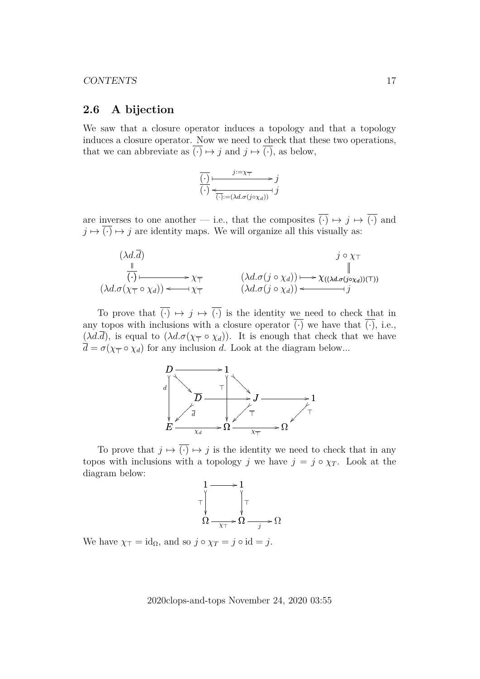### <span id="page-16-0"></span>**2.6 A bijection**

We saw that a closure operator induces a topology and that a topology induces a closure operator. Now we need to check that these two operations, that we can abbreviate as  $\overline{(\cdot)} \mapsto j$  and  $j \mapsto \overline{(\cdot)}$ , as below,

$$
\overline{(\cdot)} \longmapsto \overline{\underbrace{\left(\cdot\right)}} \longleftarrow \overline{\underbrace{\left(\cdot\right)}} \xrightarrow{\left(\cdot\right)} \overline{\underbrace{\left(\cdot\right)}} \xrightarrow{\left(\cdot\right)} \overline{\left(\cdot\right)} \xrightarrow{\left(\cdot\right)} \overline{j}
$$

are inverses to one another — i.e., that the composites  $\overline{(\cdot)} \mapsto j \mapsto \overline{(\cdot)}$  and  $j \mapsto \overline{(\cdot)} \mapsto j$  are identity maps. We will organize all this visually as:



To prove that  $\overline{(\cdot)} \mapsto i \mapsto \overline{(\cdot)}$  is the identity we need to check that in any topos with inclusions with a closure operator  $\overline{(\cdot)}$  we have that  $\overline{(\cdot)}$ , i.e.,  $(\lambda d.\overline{d})$ , is equal to  $(\lambda d.\sigma(\chi_{\overline{d}} \circ \chi_d))$ . It is enough that check that we have  $d = \sigma(\chi_{\overline{\uparrow}} \circ \chi_d)$  for any inclusion d. Look at the diagram below...



To prove that  $j \mapsto \overline{(\cdot)} \mapsto j$  is the identity we need to check that in any topos with inclusions with a topology j we have  $j = j \circ \chi_T$ . Look at the diagram below:



We have  $\chi_{\perp} = id_{\Omega}$ , and so  $j \circ \chi_T = j \circ id = j$ .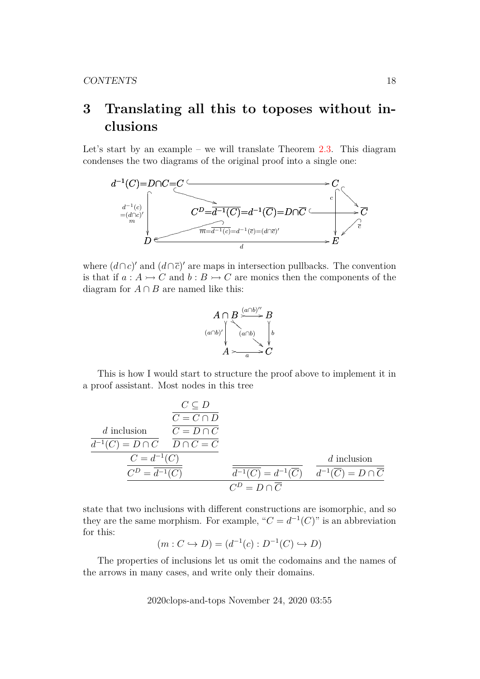# <span id="page-17-0"></span>**3 Translating all this to toposes without inclusions**

Let's start by an example – we will translate Theorem [2.3.](#page-11-1) This diagram condenses the two diagrams of the original proof into a single one:



where  $(d \cap c)'$  and  $(d \cap \overline{c})'$  are maps in intersection pullbacks. The convention is that if  $a : A \rightarrowtail C$  and  $b : B \rightarrowtail C$  are monics then the components of the diagram for  $A \cap B$  are named like this:



This is how I would start to structure the proof above to implement it in a proof assistant. Most nodes in this tree

$$
\frac{C \subseteq D}{C = C \cap D}
$$
\n
$$
\frac{d \text{ inclusion}}{d^{-1}(C) = D \cap C} \frac{\overline{C = D \cap C}}{\overline{D \cap C = C}}
$$
\n
$$
\frac{C = d^{-1}(C)}{C^D = \overline{d^{-1}(C)}} \frac{d \text{ inclusion}}{\overline{d^{-1}(C)} = d^{-1}(\overline{C})} \frac{d \text{ inclusion}}{d^{-1}(\overline{C}) = D \cap \overline{C}}
$$

state that two inclusions with different constructions are isomorphic, and so they are the same morphism. For example, " $C = d^{-1}(C)$ " is an abbreviation for this:

$$
(m:C \hookrightarrow D) = (d^{-1}(c): D^{-1}(C) \hookrightarrow D)
$$

The properties of inclusions let us omit the codomains and the names of the arrows in many cases, and write only their domains.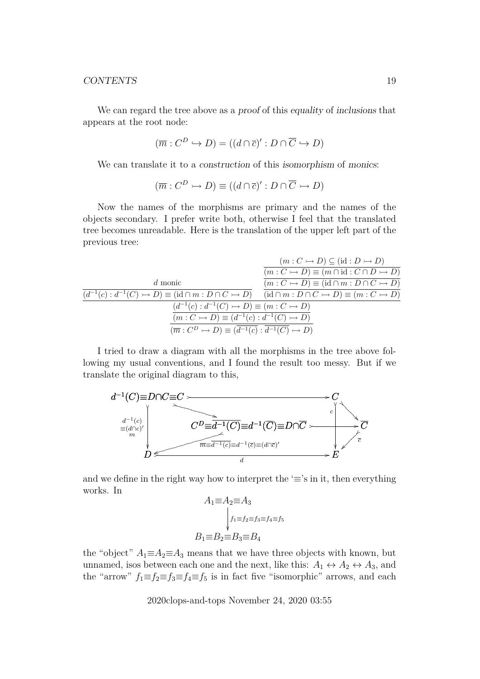We can regard the tree above as a proof of this equality of inclusions that appears at the root node:

$$
(\overline{m}: C^D \hookrightarrow D) = ((d \cap \overline{c})' : D \cap \overline{C} \hookrightarrow D)
$$

We can translate it to a *construction* of this *isomorphism* of *monics*:

$$
(\overline{m}:C^D \rightarrowtail D) \equiv ((d \cap \overline{c})': D \cap \overline{C} \rightarrowtail D)
$$

Now the names of the morphisms are primary and the names of the objects secondary. I prefer write both, otherwise I feel that the translated tree becomes unreadable. Here is the translation of the upper left part of the previous tree:

|                                                                                                                                       | $(m: C \rightarrowtail D) \subseteq (\mathrm{id}: D \rightarrowtail D)$    |  |  |  |
|---------------------------------------------------------------------------------------------------------------------------------------|----------------------------------------------------------------------------|--|--|--|
|                                                                                                                                       | $(m: C \rightarrow D) \equiv (m \cap id: C \cap D \rightarrow D)$          |  |  |  |
| d monic                                                                                                                               | $(m: C \rightarrow D) \equiv (\mathrm{id} \cap m: D \cap C \rightarrow D)$ |  |  |  |
| $(d^{-1}(c): d^{-1}(C) \to D) \equiv (\mathrm{id} \cap m: D \cap C \to D)$ $(\mathrm{id} \cap m: D \cap C \to D) \equiv (m: C \to D)$ |                                                                            |  |  |  |
| $(d^{-1}(c): d^{-1}(C) \rightarrow D) \equiv (m:C \rightarrow D)$                                                                     |                                                                            |  |  |  |
| $(m:C \rightarrowtail D) \equiv (d^{-1}(c): d^{-1}(C) \rightarrowtail D)$                                                             |                                                                            |  |  |  |
| $(\overline{m}: C^D \rightarrowtail D) \equiv (\overline{d}^{-1}(c): d^{-1}(C) \rightarrowtail D)$                                    |                                                                            |  |  |  |

I tried to draw a diagram with all the morphisms in the tree above following my usual conventions, and I found the result too messy. But if we translate the original diagram to this,



and we define in the right way how to interpret the ' $\equiv$ 's in it, then everything works. In

$$
A_1 \equiv A_2 \equiv A_3
$$
  
\n
$$
\Big|_{f_1 \equiv f_2 \equiv f_3 \equiv f_4 \equiv f_5}
$$
  
\n
$$
B_1 \equiv B_2 \equiv B_3 \equiv B_4
$$

the "object"  $A_1 \equiv A_2 \equiv A_3$  means that we have three objects with known, but unnamed, isos between each one and the next, like this:  $A_1 \leftrightarrow A_2 \leftrightarrow A_3$ , and the "arrow"  $f_1 \equiv f_2 \equiv f_3 \equiv f_4 \equiv f_5$  is in fact five "isomorphic" arrows, and each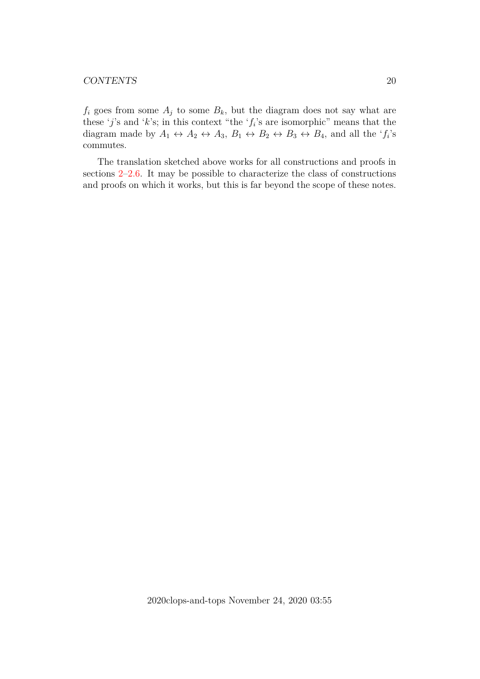$f_i$  goes from some  $A_j$  to some  $B_k$ , but the diagram does not say what are these 'j's and 'k's; in this context "the ' $f_i$ 's are isomorphic" means that the diagram made by  $A_1 \leftrightarrow A_2 \leftrightarrow A_3$ ,  $B_1 \leftrightarrow B_2 \leftrightarrow B_3 \leftrightarrow B_4$ , and all the ' $f_i$ 's commutes.

The translation sketched above works for all constructions and proofs in sections [2–](#page-7-0)[2.6.](#page-16-0) It may be possible to characterize the class of constructions and proofs on which it works, but this is far beyond the scope of these notes.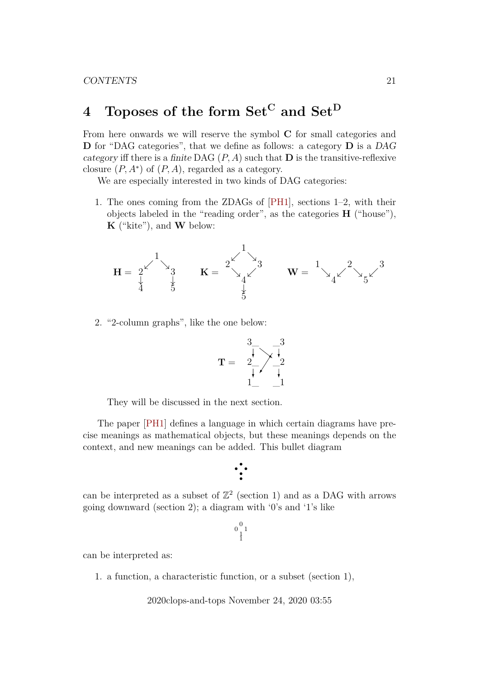# <span id="page-20-0"></span>4 Toposes of the form  $Set^C$  and  $Set^D$

From here onwards we will reserve the symbol C for small categories and D for "DAG categories", that we define as follows: a category D is a DAG category iff there is a finite DAG  $(P, A)$  such that **D** is the transitive-reflexive closure  $(P, A^*)$  of  $(P, A)$ , regarded as a category.

We are especially interested in two kinds of DAG categories:

1. The ones coming from the ZDAGs of [\[PH1\]](#page-42-10), sections 1–2, with their objects labeled in the "reading order", as the categories H ("house"),  $\mathbf{K}$  ("kite"), and  $\mathbf{W}$  below:

$$
H = \begin{array}{ccc} & 1 \\ 2 & & 3 \\ 4 & & 5 \end{array} \qquad K = \begin{array}{ccc} & & 1 \\ 2 & & 3 \\ 2 & & 4 \end{array} \qquad W = \begin{array}{ccc} & 1 \\ 2 & & 3 \\ 4 & & 5 \end{array}
$$

2. "2-column graphs", like the one below:

$$
\mathbf{T} = \begin{array}{c} 3 \\ \overline{\downarrow} \\ 2 \\ 1 \end{array} \begin{array}{c} 3 \\ \overline{\downarrow} \\ 2 \\ 1 \end{array}
$$

They will be discussed in the next section.

The paper [\[PH1\]](#page-42-10) defines a language in which certain diagrams have precise meanings as mathematical objects, but these meanings depends on the context, and new meanings can be added. This bullet diagram

$$
\cdot \cdot \cdot
$$

can be interpreted as a subset of  $\mathbb{Z}^2$  (section 1) and as a DAG with arrows going downward (section 2); a diagram with '0's and '1's like

```
\begin{smallmatrix} 0 & 1 \\ 0 & 1 \\ 1 & 1 \end{smallmatrix}
```
can be interpreted as:

1. a function, a characteristic function, or a subset (section 1),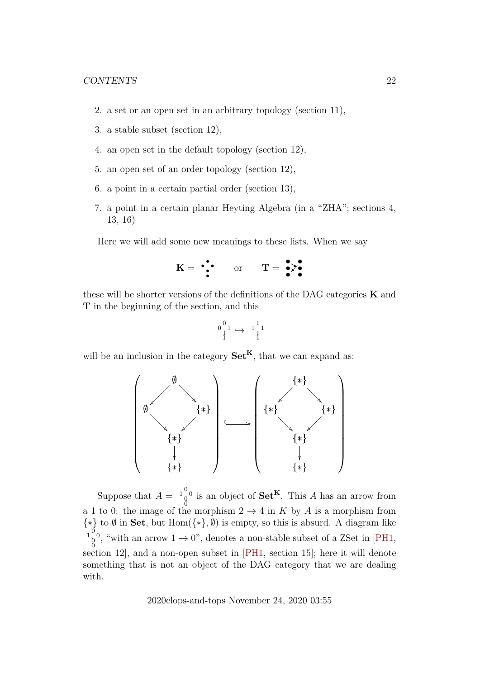- 2. a set or an open set in an arbitrary topology (section 11),
- 3. a stable subset (section 12),
- 4. an open set in the default topology (section 12),
- 5. an open set of an order topology (section 12),
- 6. a point in a certain partial order (section 13),
- 7. a point in a certain planar Heyting Algebra (in a "ZHA"; sections 4, 13, 16)

Here we will add some new meanings to these lists. When we say

$$
K = \begin{array}{cc} \bullet \bullet & \bullet \\ \bullet \end{array} \qquad \text{or} \qquad T = \begin{array}{c} \bullet \bullet \\ \bullet \end{array}
$$

these will be shorter versions of the definitions of the DAG categories  $\bf{K}$  and T in the beginning of the section, and this

$$
\begin{smallmatrix}0&&&&1\\&1\\1&&\rightarrow&1\\1&&&&1\end{smallmatrix}
$$

will be an inclusion in the category  $\mathbf{Set}^{\mathbf{K}}$ , that we can expand as:



Suppose that  $A = \begin{bmatrix} 1 & 0 \\ 0 & 0 \end{bmatrix}$  is an object of  $\mathbf{Set}^K$ . This A has an arrow from a 1 to 0: the image of the morphism  $2 \rightarrow 4$  in K by A is a morphism from  $\{*\}$  to  $\emptyset$  in **Set**, but Hom $(\{*\}, \emptyset)$  is empty, so this is absurd. A diagram like  $\frac{1}{0}$ <sup>0</sup>, "with an arrow  $1 \rightarrow 0$ ", denotes a non-stable subset of a ZSet in [\[PH1,](#page-42-10) section 12], and a non-open subset in [\[PH1,](#page-42-10) section 15]; here it will denote something that is not an object of the DAG category that we are dealing with.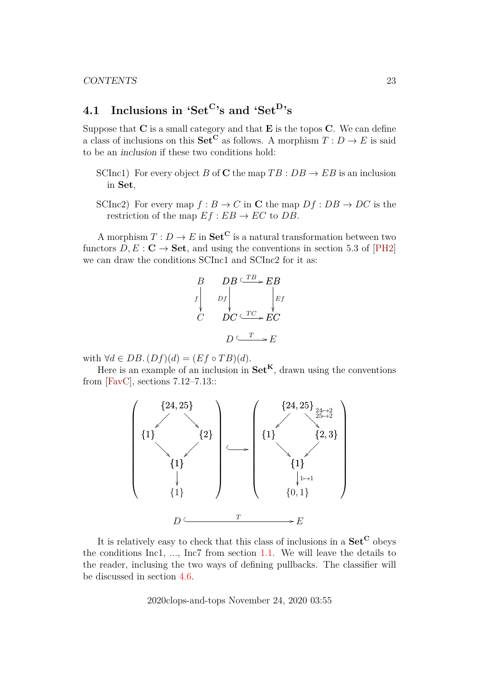# <span id="page-22-0"></span>**4.1 Inclusions in '**Set<sup>C</sup>**'s and '**Set<sup>D</sup>**'s**

Suppose that  $C$  is a small category and that  $E$  is the topos  $C$ . We can define a class of inclusions on this  $\textbf{Set}^{\mathbf{C}}$  as follows. A morphism  $T: D \to E$  is said to be an inclusion if these two conditions hold:

- SCInc1) For every object B of C the map  $TB : DB \rightarrow EB$  is an inclusion in Set,
- SCInc2) For every map  $f : B \to C$  in C the map  $Df : DB \to DC$  is the restriction of the map  $Ef : EB \rightarrow EC$  to DB.

A morphism  $T: D \to E$  in  $\mathbf{Set}^{\mathbf{C}}$  is a natural transformation between two functors  $D, E : \mathbf{C} \to \mathbf{Set}$ , and using the conventions in section 5.3 of [\[PH2\]](#page-42-9) we can draw the conditions SCInc1 and SCInc2 for it as:

$$
\begin{array}{ccc}\nB & DB \xrightarrow{TB} EB \\
f & \downarrow & \downarrow \\
C & DC \xrightarrow{TC} EC \\
D & \xrightarrow{C} T \xrightarrow{C} E\n\end{array}
$$

with  $\forall d \in DB$ .  $(Df)(d) = (Ef \circ TB)(d)$ .

Here is an example of an inclusion in  $\mathbf{Set}^{\mathbf{K}}$ , drawn using the conventions from [\[FavC\]](#page-42-4), sections 7.12–7.13::



It is relatively easy to check that this class of inclusions in a  $\mathbf{Set}^{\mathbf{C}}$  obeys the conditions Inc1, ..., Inc7 from section [1.1.](#page-4-0) We will leave the details to the reader, inclusing the two ways of defining pullbacks. The classifier will be discussed in section [4.6.](#page-28-1)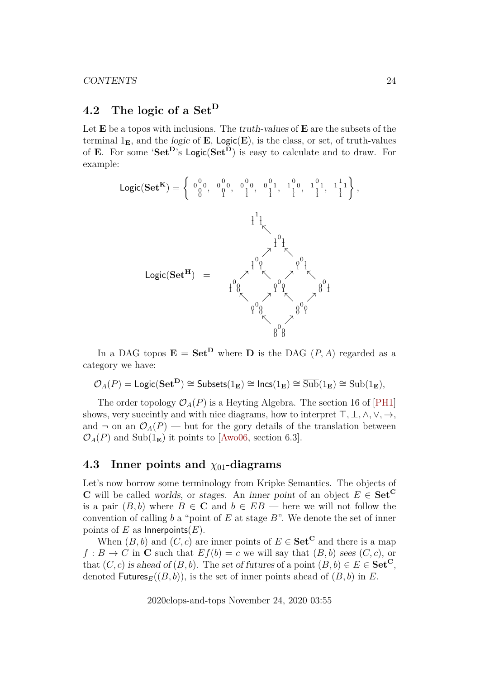# <span id="page-23-0"></span>**4.2 The logic of a** Set<sup>D</sup>

Let  $E$  be a topos with inclusions. The truth-values of  $E$  are the subsets of the terminal  $1<sub>E</sub>$ , and the *logic* of **E**, **Logic**(**E**), is the class, or set, of truth-values of E. For some 'Set<sup>D</sup>'s Logic(Set<sup>D</sup>) is easy to calculate and to draw. For example:



In a DAG topos  $\mathbf{E} = \mathbf{Set}^{\mathbf{D}}$  where **D** is the DAG  $(P, A)$  regarded as a category we have:

$$
\mathcal{O}_A(P) = \mathsf{Logic}(\mathbf{Set}^{\mathbf{D}}) \cong \mathsf{Subsets}(1_{\mathbf{E}}) \cong \mathsf{Incs}(1_{\mathbf{E}}) \cong \overline{\mathrm{Sub}}(1_{\mathbf{E}}) \cong \mathrm{Sub}(1_{\mathbf{E}}),
$$

The order topology  $\mathcal{O}_A(P)$  is a Heyting Algebra. The section 16 of [\[PH1\]](#page-42-10) shows, very succintly and with nice diagrams, how to interpret  $\top, \bot, \wedge, \vee, \rightarrow,$ and  $\neg$  on an  $\mathcal{O}_A(P)$  — but for the gory details of the translation between  $\mathcal{O}_A(P)$  and Sub $(1_{\mathbf{E}})$  it points to [\[Awo06,](#page-42-11) section 6.3].

## <span id="page-23-1"></span>**4.3** Inner points and  $χ_{01}$ -diagrams

Let's now borrow some terminology from Kripke Semantics. The objects of C will be called worlds, or stages. An inner point of an object  $E \in \mathbf{Set}^{\mathbf{C}}$ is a pair  $(B, b)$  where  $B \in \mathbb{C}$  and  $b \in EB$  — here we will not follow the convention of calling b a "point of E at stage B". We denote the set of inner points of E as Innerpoints $(E)$ .

When  $(B, b)$  and  $(C, c)$  are inner points of  $E \in \mathbf{Set}^{\mathbf{C}}$  and there is a map  $f : B \to C$  in **C** such that  $Ef(b) = c$  we will say that  $(B, b)$  sees  $(C, c)$ , or that  $(C, c)$  is ahead of  $(B, b)$ . The set of futures of a point  $(B, b) \in E \in \mathbf{Set}^{\mathbf{C}}$ , denoted Futures<sub>E</sub>( $(B, b)$ ), is the set of inner points ahead of  $(B, b)$  in E.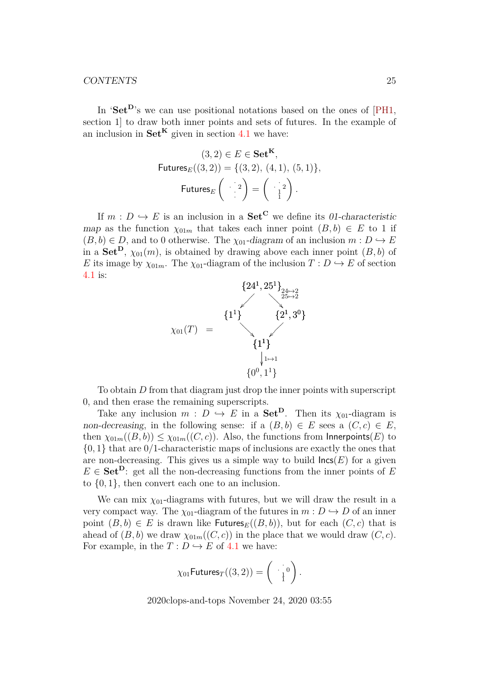In 'Set<sup>D</sup>'s we can use positional notations based on the ones of  $[PH1,$ section 1] to draw both inner points and sets of futures. In the example of an inclusion in  $\mathbf{Set}^{\mathbf{K}}$  given in section [4.1](#page-22-0) we have:

$$
(3,2) \in E \in \mathbf{Set}^{\mathbf{K}},
$$
  
Futures<sub>E</sub> $((3,2)) = \{(3,2), (4,1), (5,1)\},$   
Futures<sub>E</sub> $\begin{pmatrix} 2 \ 1 \end{pmatrix} = \begin{pmatrix} 2 \ 1 \end{pmatrix}.$ 

If  $m : D \hookrightarrow E$  is an inclusion in a  $\mathbf{Set}^{\mathbf{C}}$  we define its 01-characteristic map as the function  $\chi_{01m}$  that takes each inner point  $(B, b) \in E$  to 1 if  $(B, b) \in D$ , and to 0 otherwise. The  $\chi_{01}$ -diagram of an inclusion  $m : D \hookrightarrow E$ in a Set<sup>D</sup>,  $\chi_{01}(m)$ , is obtained by drawing above each inner point  $(B, b)$  of E its image by  $\chi_{01m}$ . The  $\chi_{01}$ -diagram of the inclusion  $T: D \hookrightarrow E$  of section [4.1](#page-22-0) is:



To obtain D from that diagram just drop the inner points with superscript 0, and then erase the remaining superscripts.

Take any inclusion  $m : D \hookrightarrow E$  in a **Set<sup>D</sup>**. Then its  $\chi_{01}$ -diagram is non-decreasing, in the following sense: if a  $(B, b) \in E$  sees a  $(C, c) \in E$ , then  $\chi_{01m}((B,b)) \leq \chi_{01m}((C,c))$ . Also, the functions from Innerpoints(E) to  $\{0, 1\}$  that are  $0/1$ -characteristic maps of inclusions are exactly the ones that are non-decreasing. This gives us a simple way to build  $\textsf{lncs}(E)$  for a given  $E \in \textbf{Set}^{\mathbf{D}}$ : get all the non-decreasing functions from the inner points of E to  $\{0, 1\}$ , then convert each one to an inclusion.

We can mix  $\chi_{01}$ -diagrams with futures, but we will draw the result in a very compact way. The  $\chi_{01}$ -diagram of the futures in  $m : D \hookrightarrow D$  of an inner point  $(B, b) \in E$  is drawn like Futures $_E((B, b))$ , but for each  $(C, c)$  that is ahead of  $(B, b)$  we draw  $\chi_{01m}((C, c))$  in the place that we would draw  $(C, c)$ . For example, in the  $T: D \hookrightarrow E$  of [4.1](#page-22-0) we have:

$$
\chi_{01} \mathsf{Futures}_T((3,2)) = \left(\begin{array}{c} \vdots \\ \frac{1}{1} \end{array}\right).
$$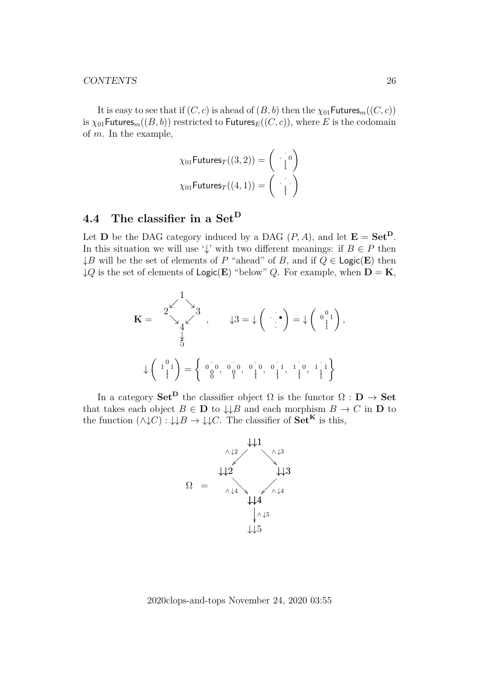It is easy to see that if  $(C, c)$  is ahead of  $(B, b)$  then the  $\chi_{01}$ Futures<sub>m</sub> $((C, c))$ is  $\chi_{01}$ Futures<sub>m</sub>((B, b)) restricted to Futures<sub>E</sub>((C, c)), where E is the codomain of m. In the example,

$$
\chi_{01} \text{Futures}_{T}((3,2)) = \begin{pmatrix} \cdot & 0\\ \frac{1}{1} & 0 \end{pmatrix}
$$

$$
\chi_{01} \text{Futures}_{T}((4,1)) = \begin{pmatrix} \cdot & \cdot\\ \frac{1}{1} & 0 \end{pmatrix}
$$

# <span id="page-25-0"></span>**4.4 The classifier in a** Set<sup>D</sup>

Let **D** be the DAG category induced by a DAG  $(P, A)$ , and let  $\mathbf{E} = \mathbf{Set}^{\mathbf{D}}$ . In this situation we will use ' $\downarrow$ ' with two different meanings: if  $B \in P$  then  $\downarrow$ B will be the set of elements of P "ahead" of B, and if  $Q \in \text{Logic}(E)$  then  $\downarrow Q$  is the set of elements of Logic(E) "below" Q. For example, when  $D = K$ ,

$$
\mathbf{K} = \begin{pmatrix} 1 \\ 2 \times 3 \\ 4 \times 3 \\ 5 \end{pmatrix}, \qquad \downarrow 3 = \downarrow \left( \begin{pmatrix} 1 \\ 1 \end{pmatrix} = \downarrow \left( \begin{pmatrix} 0 \\ 0 \\ 1 \end{pmatrix}, \downarrow 1 \right)
$$

$$
\downarrow \left( \begin{pmatrix} 1 \\ 1 \\ 1 \end{pmatrix} = \left\{ \begin{pmatrix} 0 \\ 0 \\ 0 \end{pmatrix}, \begin{pmatrix} 0 \\ 0 \\ 1 \end{pmatrix}, \begin{pmatrix} 0 \\ 0 \\ 1 \end{pmatrix}, \begin{pmatrix} 0 \\ 0 \\ 1 \end{pmatrix}, \begin{pmatrix} 0 \\ 0 \\ 1 \end{pmatrix}, \begin{pmatrix} 0 \\ 0 \\ 1 \end{pmatrix}, \begin{pmatrix} 0 \\ 0 \\ 1 \end{pmatrix}, \begin{pmatrix} 0 \\ 0 \\ 1 \end{pmatrix}, \begin{pmatrix} 0 \\ 0 \\ 1 \end{pmatrix}, \begin{pmatrix} 0 \\ 0 \\ 1 \end{pmatrix}, \begin{pmatrix} 0 \\ 0 \\ 1 \end{pmatrix}, \begin{pmatrix} 0 \\ 0 \\ 1 \end{pmatrix}, \begin{pmatrix} 0 \\ 0 \\ 1 \end{pmatrix}, \begin{pmatrix} 0 \\ 0 \\ 1 \end{pmatrix}, \begin{pmatrix} 0 \\ 0 \\ 1 \end{pmatrix}, \begin{pmatrix} 0 \\ 0 \\ 1 \end{pmatrix}, \begin{pmatrix} 0 \\ 0 \\ 1 \end{pmatrix}, \begin{pmatrix} 0 \\ 0 \\ 1 \end{pmatrix}, \begin{pmatrix} 0 \\ 0 \\ 1 \end{pmatrix}, \begin{pmatrix} 0 \\ 0 \\ 1 \end{pmatrix}, \begin{pmatrix} 0 \\ 0 \\ 1 \end{pmatrix}, \begin{pmatrix} 0 \\ 0 \\ 1 \end{pmatrix}, \begin{pmatrix} 0 \\ 0 \\ 1 \end{pmatrix}, \begin{pmatrix} 0 \\ 0 \\ 1 \end{pmatrix}, \begin{pmatrix} 0 \\ 0 \\ 1 \end{pmatrix}, \begin{pmatrix} 0 \\ 0 \\ 1 \end{pmatrix}, \begin{pmatrix} 0 \\ 0 \\ 1 \end{pmatrix}, \begin{pmatrix} 0 \\ 0 \\ 1 \end{pmatrix}, \begin{pmatrix} 0 \\ 0 \\ 1 \end{pmatrix}, \begin{pmatrix} 0 \\ 0 \\ 1 \end{pmatrix}, \begin{pmatrix} 0 \\ 0 \\ 1 \end{pm
$$

In a category  $\mathbf{Set}^{\mathbf{D}}$  the classifier object  $\Omega$  is the functor  $\Omega : \mathbf{D} \to \mathbf{Set}$ that takes each object  $B \in \mathbf{D}$  to  $\downarrow \downarrow B$  and each morphism  $B \to C$  in  $\mathbf{D}$  to the function  $(\land \downarrow C) : \downarrow \downarrow B \rightarrow \downarrow \downarrow C$ . The classifier of  $Set^K$  is this,

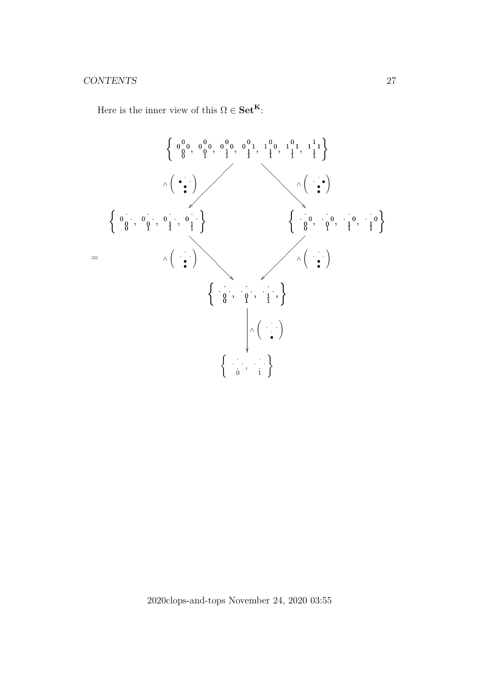Here is the inner view of this  $\Omega \in \mathbf{Set}^\mathbf{K}$ :

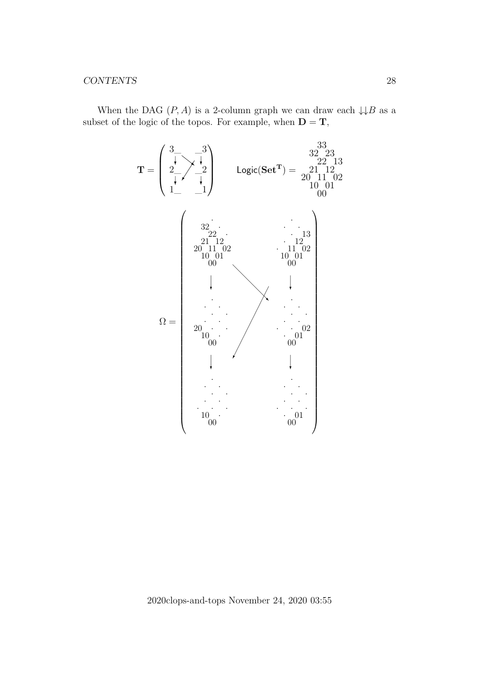When the DAG  $(P, A)$  is a 2-column graph we can draw each  $\downarrow \downarrow B$  as a subset of the logic of the topos. For example, when  $D = T$ ,

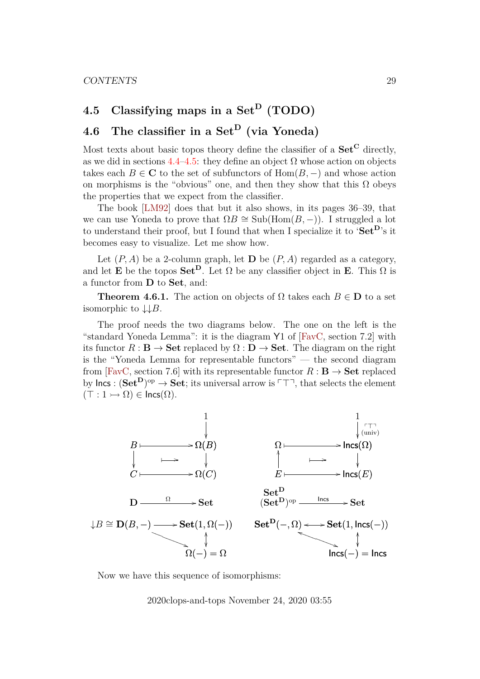# <span id="page-28-0"></span>4.5 Classifying maps in a Set<sup>D</sup> (TODO)

# <span id="page-28-1"></span>**4.6 The classifier in a** Set<sup>D</sup> **(via Yoneda)**

Most texts about basic topos theory define the classifier of a  $\mathbf{Set}^{\mathbf{C}}$  directly, as we did in sections  $4.4-4.5$  $4.4-4.5$ : they define an object  $\Omega$  whose action on objects takes each  $B \in \mathbb{C}$  to the set of subfunctors of  $\text{Hom}(B, -)$  and whose action on morphisms is the "obvious" one, and then they show that this  $\Omega$  obeys the properties that we expect from the classifier.

The book [\[LM92\]](#page-42-2) does that but it also shows, in its pages 36–39, that we can use Yoneda to prove that  $\Omega B \cong Sub(\text{Hom}(B, -))$ . I struggled a lot to understand their proof, but I found that when I specialize it to 'Set<sup>D</sup>'s it becomes easy to visualize. Let me show how.

Let  $(P, A)$  be a 2-column graph, let **D** be  $(P, A)$  regarded as a category, and let **E** be the topos  $\mathbf{Set}^{\mathbf{D}}$ . Let  $\Omega$  be any classifier object in **E**. This  $\Omega$  is a functor from D to Set, and:

**Theorem 4.6.1.** The action on objects of  $\Omega$  takes each  $B \in \mathbf{D}$  to a set isomorphic to  $\downarrow \downarrow B$ .

The proof needs the two diagrams below. The one on the left is the "standard Yoneda Lemma": it is the diagram Y1 of [\[FavC,](#page-42-4) section 7.2] with its functor  $R : \mathbf{B} \to \mathbf{Set}$  replaced by  $\Omega : \mathbf{D} \to \mathbf{Set}$ . The diagram on the right is the "Yoneda Lemma for representable functors" — the second diagram from [\[FavC,](#page-42-4) section 7.6] with its representable functor  $R : \mathbf{B} \to \mathbf{Set}$  replaced by lncs :  $(\mathbf{Set}^{\mathbf{D}})^{op} \to \mathbf{Set}$ ; its universal arrow is  $\ulcorner \ulcorner \ulcorner \urcorner$ , that selects the element  $(T : 1 \rightarrow \Omega) \in \text{Incs}(\Omega)$ .



Now we have this sequence of isomorphisms: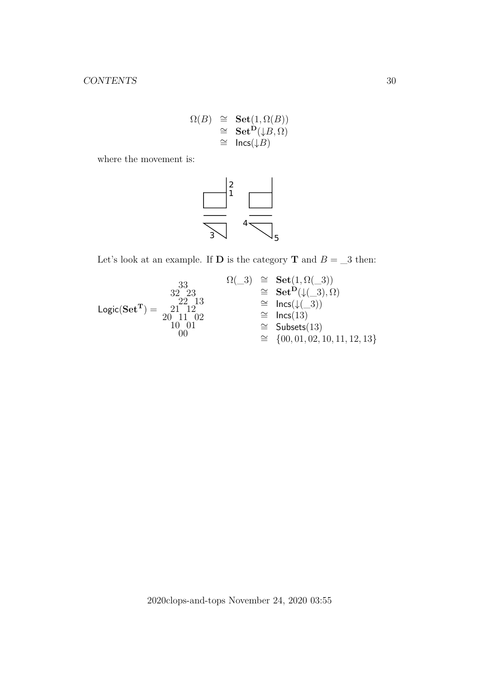$$
\begin{array}{rcl} \Omega(B) & \cong & \mathbf{Set}(1,\Omega(B)) \\ & \cong & \mathbf{Set}^{\mathbf{D}}(\downarrow B,\Omega) \\ & \cong & \mathsf{Incs}(\downarrow\!B) \end{array}
$$

where the movement is:



Let's look at an example. If  ${\bf D}$  is the category  ${\bf T}$  and  $B = \_3$  then:

$$
\begin{array}{ccc} & {}^{33}_{22} \\ {}^{22}_{22}13 \\ {}^{20}_{20}11 \ 02 \\ {}^{00}_{21} \end{array} \cong \begin{array}{ccc} \mathrm{Set}(1,\Omega(\_3)) \\ {}^{32}_{22}13 \\ {}^{32}_{22}13 \\ {}^{32}_{22}13 \\ {}^{32}_{22}13 \\ {}^{33}_{23}12 \\ {}^{34}_{23}11 \ 02 \\ {}^{35}_{24}10 \ 01 \\ {}^{36}_{25}11 \ 02 \\ {}^{37}_{26}11 \ 02 \\ {}^{36}_{27}11 \ 02 \\ {}^{36}_{28}11 \ 02 \\ {}^{37}_{28}11 \ 02 \\ {}^{38}_{28}11 \ 02 \\ {}^{30}_{28}11 \ 02 \\ {}^{30}_{28}11 \ 02 \\ {}^{30}_{28}11 \ 02 \\ {}^{31}_{28}11 \ 02 \\ {}^{32}_{28}11 \ 02 \\ {}^{34}_{28}11 \ 02 \\ {}^{35}_{28}11 \ 02 \\ {}^{36}_{28}11 \ 02 \\ {}^{36}_{28}11 \ 02 \\ {}^{37}_{28}11 \ 02 \\ {}^{38}_{28}11 \ 02 \\ {}^{30}_{28}11 \ 02 \\ {}^{30}_{28}11 \ 02 \\ {}^{31}_{28}11 \ 02 \\ {}^{31}_{28}11 \ 02 \\ {}^{31}_{28}11 \ 02 \\ {}^{31}_{28}11 \ 02 \\ {}^{31}_{28}11 \ 02 \\ {}^{31}_{28}11 \ 02 \\ {}^{31}_{28}11 \ 02 \\ {}^{31}_{28}11 \ 02 \\ {}^{31}_{28}11 \ 02 \\ {}^{31}_{28}11 \ 02 \\ {}^{31}_{28}11 \ 02 \\ {}^{31}_{28}11 \ 02 \\ {}^{31}_{28}11 \ 02 \\ {}^{31}_{28}11 \ 02 \\ {}^{31}_{28}11 \ 02 \\ {}^{31}_{28}11 \ 02 \\ {}^{31}_{28}11 \ 02 \\ {}^{31}_{28}11 \ 02 \\ {}^{31}_{28}11 \ 02 \\ {}^{31}_{28}11 \ 02 \\ {}^{31}_{28}11 \
$$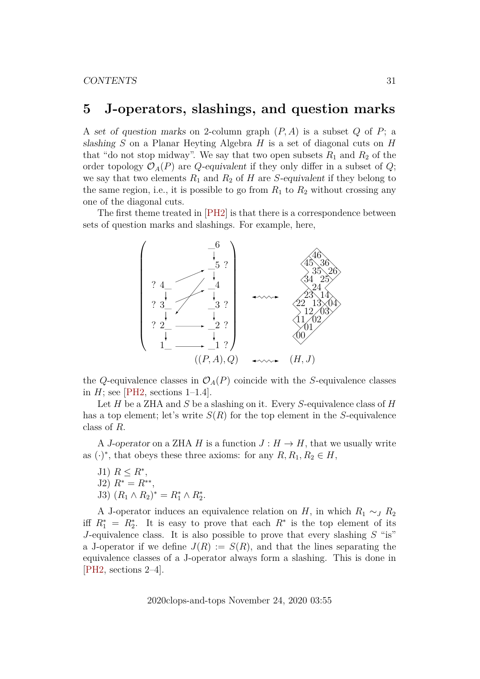## <span id="page-30-0"></span>**5 J-operators, slashings, and question marks**

A set of question marks on 2-column graph  $(P, A)$  is a subset  $Q$  of  $P$ ; a slashing  $S$  on a Planar Heyting Algebra  $H$  is a set of diagonal cuts on  $H$ that "do not stop midway". We say that two open subsets  $R_1$  and  $R_2$  of the order topology  $\mathcal{O}_A(P)$  are Q-equivalent if they only differ in a subset of Q; we say that two elements  $R_1$  and  $R_2$  of H are S-equivalent if they belong to the same region, i.e., it is possible to go from  $R_1$  to  $R_2$  without crossing any one of the diagonal cuts.

The first theme treated in [\[PH2\]](#page-42-9) is that there is a correspondence between sets of question marks and slashings. For example, here,



the Q-equivalence classes in  $\mathcal{O}_A(P)$  coincide with the S-equivalence classes in  $H$ ; see [\[PH2,](#page-42-9) sections 1–1.4].

Let  $H$  be a ZHA and  $S$  be a slashing on it. Every  $S$ -equivalence class of  $H$ has a top element; let's write  $S(R)$  for the top element in the S-equivalence class of R.

A J-operator on a ZHA H is a function  $J: H \to H$ , that we usually write as  $(\cdot)^*$ , that obeys these three axioms: for any  $R, R_1, R_2 \in H$ ,

J1)  $R \leq R^*$ , J2)  $R^* = R^{**}$ , J3)  $(R_1 \wedge R_2)^* = R_1^* \wedge R_2^*$ .

A J-operator induces an equivalence relation on H, in which  $R_1 \sim_J R_2$ iff  $R_1^* = R_2^*$ . It is easy to prove that each  $R^*$  is the top element of its J-equivalence class. It is also possible to prove that every slashing  $S$  "is" a J-operator if we define  $J(R) := S(R)$ , and that the lines separating the equivalence classes of a J-operator always form a slashing. This is done in [\[PH2,](#page-42-9) sections 2–4].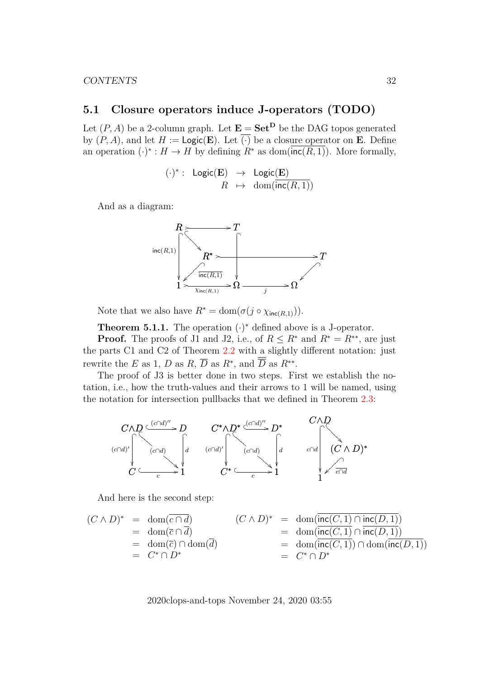## <span id="page-31-0"></span>**5.1 Closure operators induce J-operators (TODO)**

Let  $(P, A)$  be a 2-column graph. Let  $\mathbf{E} = \mathbf{Set}^{\mathbf{D}}$  be the DAG topos generated by  $(P, A)$ , and let  $H := \text{Logic}(E)$ . Let  $\overline{(\cdot)}$  be a closure operator on E. Define an operation  $(\cdot)^* : H \to H$  by defining  $R^*$  as dom( $\overline{\text{inc}(R, 1)}$ ). More formally,

$$
(\cdot)^*:\ \ \mathsf{Logic}(\mathbf{E})\ \ \rightarrow \ \ \mathsf{Logic}(\mathbf{E}) \\ R\ \ \mapsto \ \ \mathsf{dom}(\mathsf{inc}(R,1))
$$

And as a diagram:



Note that we also have  $R^* = \text{dom}(\sigma(j \circ \chi_{\text{inc}(R,1)})).$ 

**Theorem 5.1.1.** The operation  $(\cdot)^*$  defined above is a J-operator.

**Proof.** The proofs of J1 and J2, i.e., of  $R \leq R^*$  and  $R^* = R^{**}$ , are just the parts C1 and C2 of Theorem [2.2](#page-9-2) with a slightly different notation: just rewrite the E as 1, D as R,  $\overline{D}$  as R<sup>\*</sup>, and  $\overline{D}$  as R<sup>\*\*</sup>.

The proof of J3 is better done in two steps. First we establish the notation, i.e., how the truth-values and their arrows to 1 will be named, using the notation for intersection pullbacks that we defined in Theorem [2.3:](#page-11-1)



And here is the second step:

$$
(C \wedge D)^* = \text{dom}(\overline{c \cap d}) \qquad (C \wedge D)^* = \text{dom}(\overline{\text{inc}(C, 1)} \cap \text{inc}(D, 1))
$$
  
= dom( $\overline{c} \cap \overline{d}$ )  
= dom( $\overline{c}$ )  $\cap$  dom( $\overline{d}$ )  
= C<sup>\*</sup>  $\cap$  D<sup>\*</sup>  
= C<sup>\*</sup>  $\cap$  D<sup>\*</sup>  
= C<sup>\*</sup>  $\cap$  D<sup>\*</sup>  
= C<sup>\*</sup>  $\cap$  D<sup>\*</sup>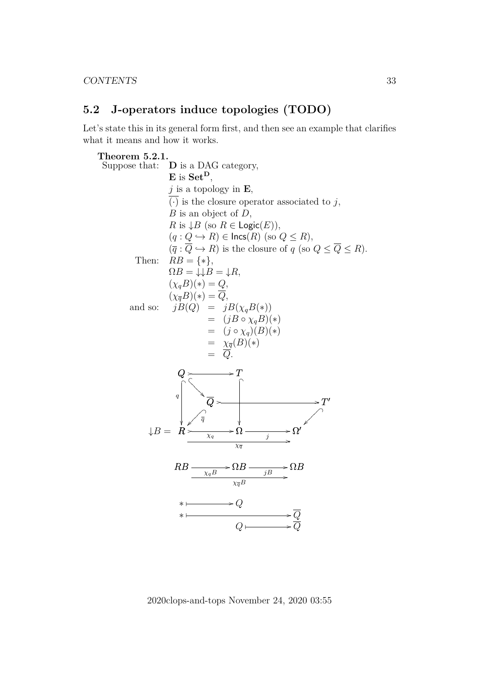## <span id="page-32-0"></span>**5.2 J-operators induce topologies (TODO)**

Let's state this in its general form first, and then see an example that clarifies what it means and how it works.



2020clops-and-tops November 24, 2020 03:55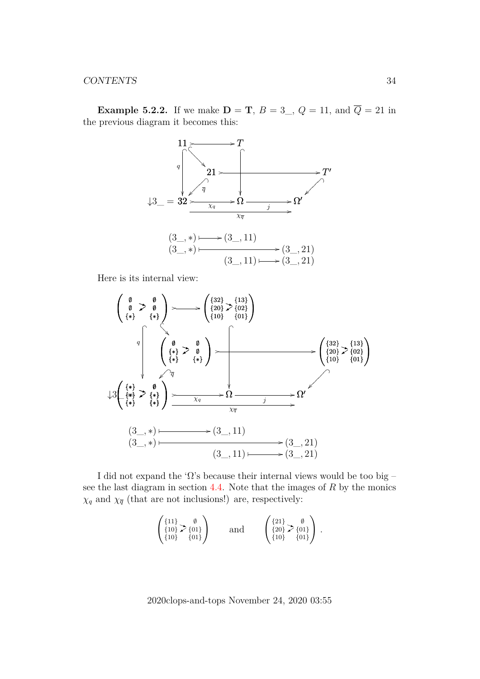**Example 5.2.2.** If we make  $D = T$ ,  $B = 3$ ,  $Q = 11$ , and  $\overline{Q} = 21$  in the previous diagram it becomes this:



Here is its internal view:



I did not expand the ' $\Omega$ 's because their internal views would be too big – see the last diagram in section  $4.4$ . Note that the images of R by the monics  $\chi_q$  and  $\chi_{\overline{q}}$  (that are not inclusions!) are, respectively:

$$
\begin{pmatrix} \{11\} & \emptyset \\ \{10\} & \{01\} \\ \{10\} & \{01\} \end{pmatrix} \quad \text{and} \quad \begin{pmatrix} \{21\} & \emptyset \\ \{20\} & \{01\} \\ \{10\} & \{01\} \end{pmatrix}.
$$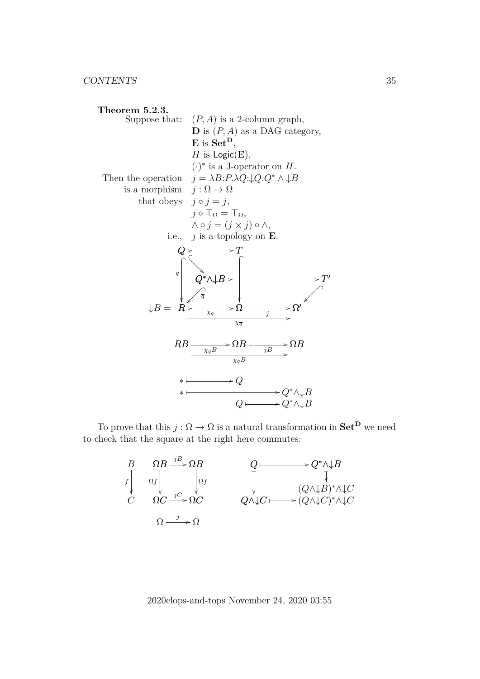

To prove that this  $j : \Omega \to \Omega$  is a natural transformation in  $\mathbf{Set}^{\mathbf{D}}$  we need to check that the square at the right here commutes:

| $\overline{D}$ | $OR \xrightarrow{jB} \Omega B$                                   | $\rightarrow Q^*\wedge\downarrow B$                                                                                                                                                            |
|----------------|------------------------------------------------------------------|------------------------------------------------------------------------------------------------------------------------------------------------------------------------------------------------|
|                | $\Omega f$<br>$\Omega f$<br>$\Omega C \xrightarrow{jC} \Omega C$ | $\begin{array}{c}\n\big\downarrow \qquad \qquad (Q \wedge \downarrow B)^* \wedge \downarrow C \\ Q \wedge \downarrow C \longmapsto (Q \wedge \downarrow C)^* \wedge \downarrow C\n\end{array}$ |
|                |                                                                  |                                                                                                                                                                                                |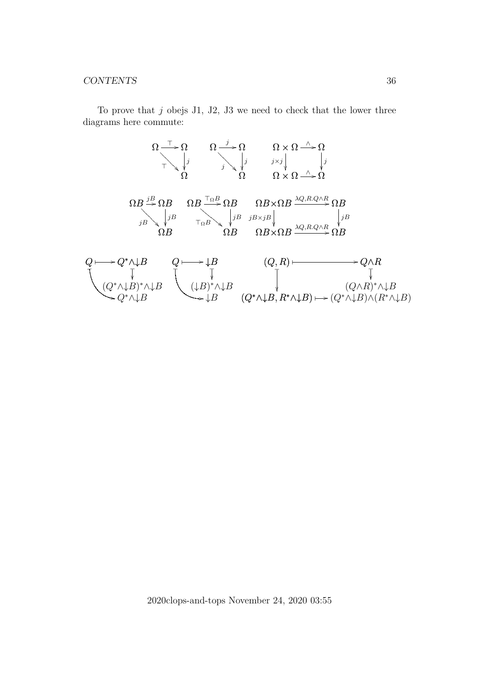To prove that  $j$  obejs J1, J2, J3 we need to check that the lower three diagrams here commute:

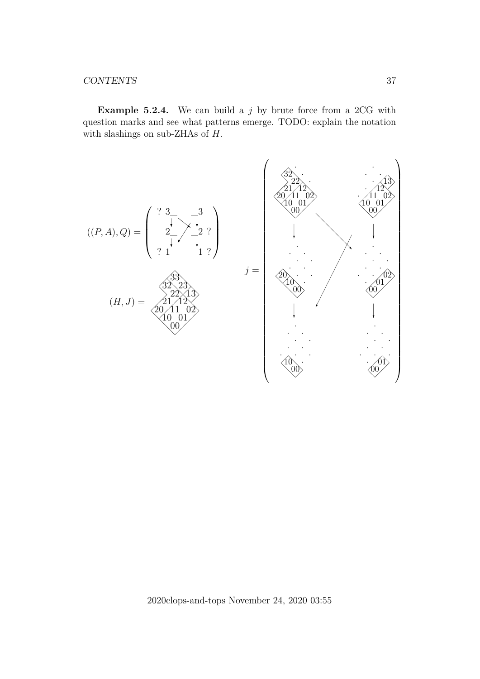**Example 5.2.4.** We can build a j by brute force from a 2CG with question marks and see what patterns emerge. TODO: explain the notation with slashings on sub-ZHAs of H.



2020clops-and-tops November 24, 2020 03:55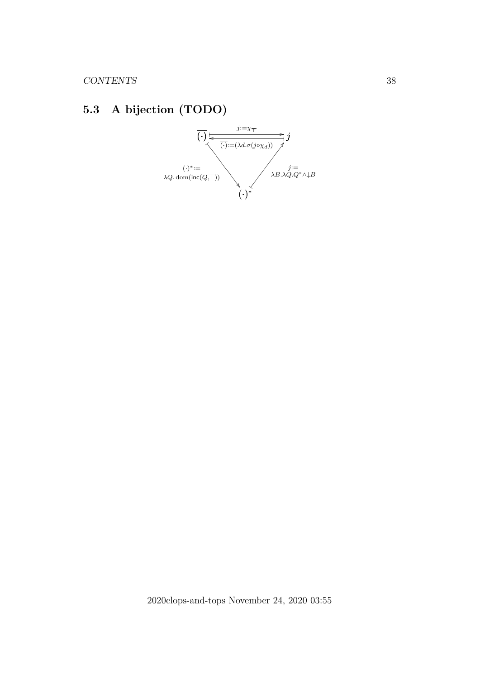# <span id="page-37-0"></span>**5.3 A bijection (TODO)**

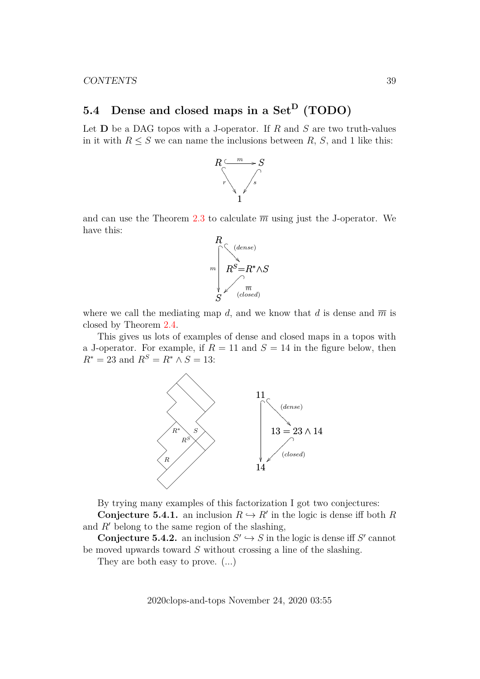# <span id="page-38-0"></span>5.4 Dense and closed maps in a Set<sup>D</sup> (TODO)

Let  $D$  be a DAG topos with a J-operator. If R and S are two truth-values in it with  $R \leq S$  we can name the inclusions between R, S, and 1 like this:



and can use the Theorem [2.3](#page-11-1) to calculate  $\overline{m}$  using just the J-operator. We have this:



where we call the mediating map d, and we know that d is dense and  $\overline{m}$  is closed by Theorem [2.4.](#page-12-1)

This gives us lots of examples of dense and closed maps in a topos with a J-operator. For example, if  $R = 11$  and  $S = 14$  in the figure below, then  $R^* = 23$  and  $R^S = R^* \wedge S = 13$ :



By trying many examples of this factorization I got two conjectures:

**Conjecture 5.4.1.** an inclusion  $R \hookrightarrow R'$  in the logic is dense iff both R and  $R'$  belong to the same region of the slashing,

**Conjecture 5.4.2.** an inclusion  $S' \hookrightarrow S$  in the logic is dense iff S' cannot be moved upwards toward S without crossing a line of the slashing.

They are both easy to prove. (...)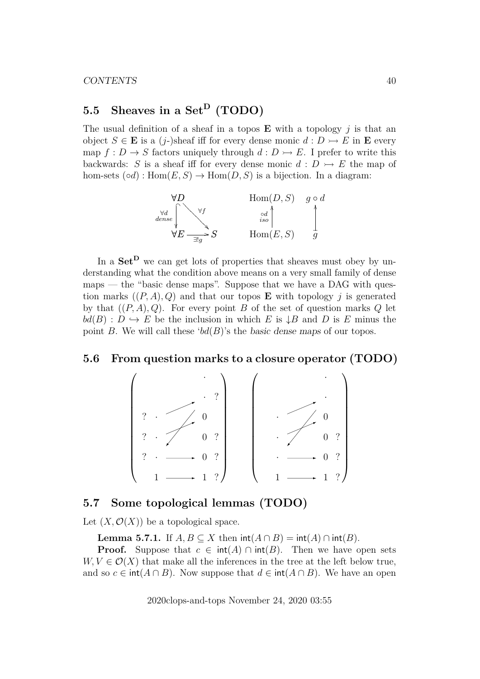# <span id="page-39-0"></span>5.5 Sheaves in a Set<sup>D</sup> (TODO)

The usual definition of a sheaf in a topos  $E$  with a topology j is that an object  $S \in \mathbf{E}$  is a (j-)sheaf iff for every dense monic  $d : D \rightarrow E$  in  $\mathbf{E}$  every map  $f: D \to S$  factors uniquely through  $d: D \to E$ . I prefer to write this backwards: S is a sheaf iff for every dense monic  $d : D \rightarrow E$  the map of hom-sets  $(\circ d)$ :  $Hom(E, S) \to Hom(D, S)$  is a bijection. In a diagram:



In a  $\mathbf{Set}^{\mathbf{D}}$  we can get lots of properties that sheaves must obey by understanding what the condition above means on a very small family of dense  $maps$  — the "basic dense maps". Suppose that we have a DAG with question marks  $((P, A), Q)$  and that our topos **E** with topology j is generated by that  $((P, A), Q)$ . For every point B of the set of question marks Q let  $bd(B) : D \hookrightarrow E$  be the inclusion in which E is  $\downarrow$ B and D is E minus the point B. We will call these ' $bd(B)$ 's the basic dense maps of our topos.

### <span id="page-39-1"></span>**5.6 From question marks to a closure operator (TODO)**



## <span id="page-39-2"></span>**5.7 Some topological lemmas (TODO)**

Let  $(X, \mathcal{O}(X))$  be a topological space.

**Lemma 5.7.1.** If  $A, B \subseteq X$  then  $\text{int}(A \cap B) = \text{int}(A) \cap \text{int}(B)$ .

**Proof.** Suppose that  $c \in \text{int}(A) \cap \text{int}(B)$ . Then we have open sets  $W, V \in \mathcal{O}(X)$  that make all the inferences in the tree at the left below true, and so  $c \in \text{int}(A \cap B)$ . Now suppose that  $d \in \text{int}(A \cap B)$ . We have an open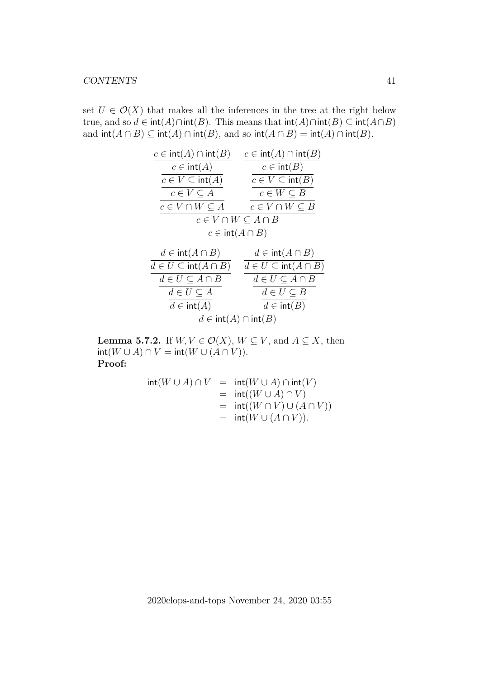set  $U \in \mathcal{O}(X)$  that makes all the inferences in the tree at the right below true, and so  $d \in \text{int}(A) \cap \text{int}(B)$ . This means that  $\text{int}(A) \cap \text{int}(B) \subset \text{int}(A \cap B)$ and  $\text{int}(A \cap B) \subseteq \text{int}(A) \cap \text{int}(B)$ , and so  $\text{int}(A \cap B) = \text{int}(A) \cap \text{int}(B)$ .



**Lemma 5.7.2.** If  $W, V \in \mathcal{O}(X)$ ,  $W \subseteq V$ , and  $A \subseteq X$ , then  $int(W \cup A) \cap V = int(W \cup (A \cap V)).$ **Proof:**

$$
int(W \cup A) \cap V = int(W \cup A) \cap int(V)
$$
  
= int((W \cup A) \cap V)  
= int((W \cap V) \cup (A \cap V))  
= int(W \cup (A \cap V)).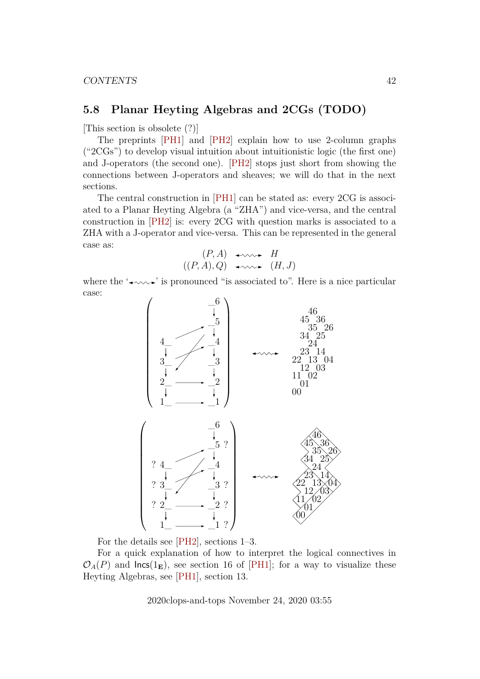## <span id="page-41-0"></span>**5.8 Planar Heyting Algebras and 2CGs (TODO)**

[This section is obsolete (?)]

The preprints [\[PH1\]](#page-42-10) and [\[PH2\]](#page-42-9) explain how to use 2-column graphs ("2CGs") to develop visual intuition about intuitionistic logic (the first one) and J-operators (the second one). [\[PH2\]](#page-42-9) stops just short from showing the connections between J-operators and sheaves; we will do that in the next sections.

The central construction in [\[PH1\]](#page-42-10) can be stated as: every 2CG is associated to a Planar Heyting Algebra (a "ZHA") and vice-versa, and the central construction in [\[PH2\]](#page-42-9) is: every 2CG with question marks is associated to a ZHA with a J-operator and vice-versa. This can be represented in the general case as:

$$
(P, A) \leftrightarrow H
$$
  

$$
((P, A), Q) \leftrightarrow \leadsto (H, J)
$$

where the  $\rightarrow \rightarrow \rightarrow$  is pronounced "is associated to". Here is a nice particular case:



For the details see [\[PH2\]](#page-42-9), sections 1–3.

For a quick explanation of how to interpret the logical connectives in  $\mathcal{O}_A(P)$  and lncs(1<sub>E</sub>), see section 16 of [\[PH1\]](#page-42-10); for a way to visualize these Heyting Algebras, see [\[PH1\]](#page-42-10), section 13.